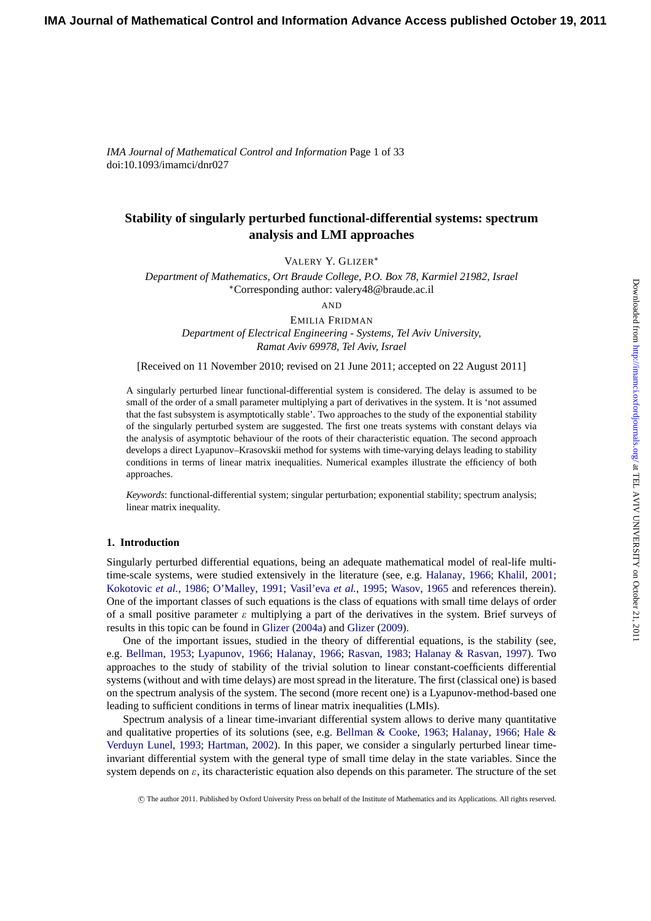# **Stability of singularly perturbed functional-differential systems: spectrum analysis and LMI approaches**

VALERY Y. GLIZER∗

*Department of Mathematics, Ort Braude College, P.O. Box 78, Karmiel 21982, Israel* ∗Corresponding author: valery48@braude.ac.il

AND

EMILIA FRIDMAN *Department of Electrical Engineering - Systems, Tel Aviv University, Ramat Aviv 69978, Tel Aviv, Israel*

[Received on 11 November 2010; revised on 21 June 2011; accepted on 22 August 2011]

A singularly perturbed linear functional-differential system is considered. The delay is assumed to be small of the order of a small parameter multiplying a part of derivatives in the system. It is 'not assumed that the fast subsystem is asymptotically stable'. Two approaches to the study of the exponential stability of the singularly perturbed system are suggested. The first one treats systems with constant delays via the analysis of asymptotic behaviour of the roots of their characteristic equation. The second approach develops a direct Lyapunov–Krasovskii method for systems with time-varying delays leading to stability conditions in terms of linear matrix inequalities. Numerical examples illustrate the efficiency of both approaches.

*Keywords*: functional-differential system; singular perturbation; exponential stability; spectrum analysis; linear matrix inequality.

# **1. Introduction**

Singularly perturbed differential equations, being an adequate mathematical model of real-life multitime-scale systems, were studied extensively in the literature (see, e.g. Halanay, 1966; Khalil, 2001; Kokotovic *et al.*, 1986; O'Malley, 1991; Vasil'eva *et al.*, 1995; Wasov, 1965 and references therein). One of the important classes of such equations is the class of equations with small time delays of order of a small positive parameter  $\varepsilon$  multiplying a part of the derivatives in the system. Brief surveys of results in this topic can be found in Glizer (2004a) and Glizer (2009).

[One of the important issues,](#page-31-0) s[tudied in the theory of diffe](#page-31-0)[rential equatio](#page-32-0)ns, is the stability (see, e.g. Bellman, 1953; Lyapunov, 1966; Halanay, 1966; Rasvan, 1983; Halanay & Rasvan, 1997). Two approaches to the study of stability of the trivial solution to linear constant-coefficients differential systems (without and with time dela[ys\) are](#page-31-0) [most sp](#page-31-0)read [in the](#page-31-0) li[teratu](#page-31-0)re. The first (classical one) is based on the spectrum analysis of the system. The second (more recent one) is a Lyapunov-method-based one lead[ing to sufficient](#page-30-0) [conditions](#page-31-0) i[n terms of linea](#page-31-0)r [matrix inequa](#page-31-0)l[ities \(LMIs\).](#page-31-0)

Spectrum analysis of a linear time-invariant differential system allows to derive many quantitative and qualitative properties of its solutions (see, e.g. Bellman & Cooke, 1963; Halanay, 1966; Hale & Verduyn Lunel, 1993; Hartman, 2002). In this paper, we consider a singularly perturbed linear timeinvariant differential system with the general type of small time delay in the state variables. Since the system depends on  $\varepsilon$ , its characteristic equation also depends on this parameter. The structure of the set

c The [auth](#page-31-0)or [2011. P](#page-31-0)u[blished by Ox](#page-31-0)f[ord Uni](#page-31-0)versity Press on behalf of the Institute of Mathematics and its Applications. All rights reserved.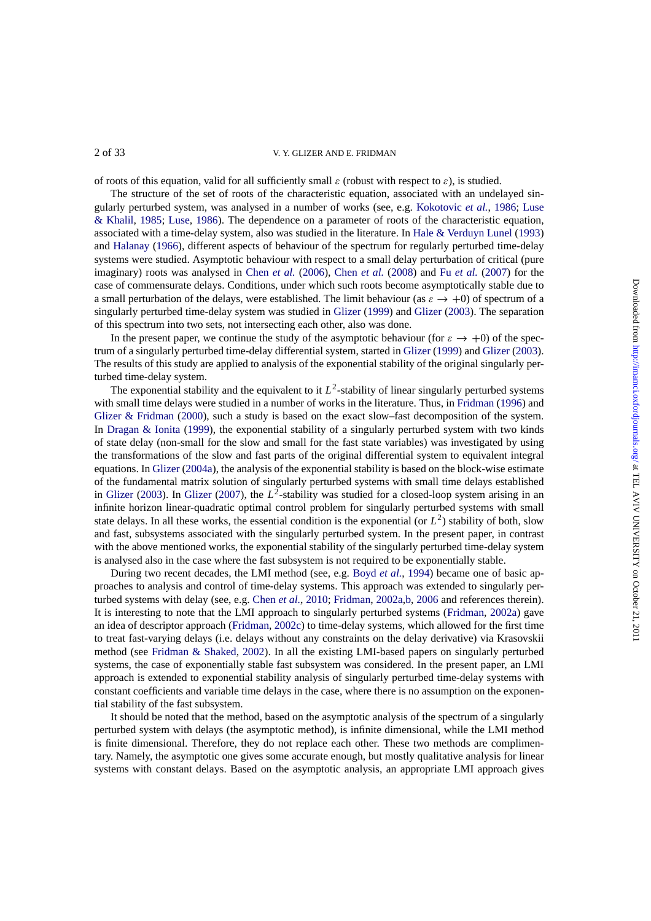of roots of this equation, valid for all sufficiently small  $\varepsilon$  (robust with respect to  $\varepsilon$ ), is studied.

The structure of the set of roots of the characteristic equation, associated with an undelayed singularly perturbed system, was analysed in a number of works (see, e.g. Kokotovic *et al.*, 1986; Luse & Khalil, 1985; Luse, 1986). The dependence on a parameter of roots of the characteristic equation, associated with a time-delay system, also was studied in the literature. In Hale & Verduyn Lunel (1993) and Halanay (1966), different aspects of behaviour of the spectrum for regularly perturbed time-delay systems were studied. Asymptotic behaviour with respect to a small dela[y perturbation of critical](#page-31-0) [\(pure](#page-31-0) [imaginary\) root](#page-31-0)s [was](#page-31-0) [analys](#page-31-0)ed in Chen *et al.* (2006), Chen *et al.* (2008) and Fu *et al.* (2007) for the case of commensurate delays. Conditions, under which such roots beco[me asymptotically stable](#page-31-0) [due to](#page-31-0) a s[mall pertu](#page-31-0)r[bation](#page-31-0) of the delays, were established. The limit behaviour (as  $\varepsilon \to +0$ ) of spectrum of a singularly perturbed time-delay system was studied in Glizer (1999) and Glizer (2003). The separation of this spectrum into two sets, not [intersecting](#page-30-0) e[ach o](#page-30-0)th[er, also was](#page-30-0) [done.](#page-30-0)

In the present paper, we continue the study of the asymptotic behaviour (for  $\varepsilon \to +0$ ) of the spectrum of a singularly perturbed time-delay differential system, started in Glizer (1999) and Glizer (2003). The results of this study are applied to analysis of the e[xponen](#page-31-0)t[ial sta](#page-31-0)bility [of the](#page-31-0) [origina](#page-31-0)l singularly perturbed time-delay system.

The exponential stability and the equivalent to it  $L^2$ -stability of linear singularly perturbed systems with small time delays were studied in a number of works in the literat[ure. Thus, in](#page-31-0) Fridman [\(1996\) an](#page-31-0)d Glizer & Fridman (2000), such a study is based on the exact slow–fast decomposition of the system. In Dragan & Ionita (1999), the exponential stability of a singularly perturbed system with two kinds of state delay (non-small for the slow and small for the fast state variables) was investigated by using the transformations of the slow and fast parts of the original differential system t[o equivalent int](#page-30-0)egral [equations. In](#page-31-0) Glizer [\(2004](#page-31-0)a), the analysis of the exponential stability is based on the block-wise estimate of [the fundamental](#page-30-0) [matrix](#page-30-0) solution of singularly perturbed systems with small time delays established in Glizer (2003). In Glizer (2007), the  $L^2$ -stability was studied for a closed-loop system arising in an infinite horizon linear-quadratic optimal control problem for singularly perturbed systems with small state delays. [In all these wo](#page-31-0)rks, the essential condition is the exponential (or  $L^2$ ) stability of both, slow and fast, subsystems associated with the singularly perturbed system. In the present paper, in contrast wi[th the above m](#page-31-0)ent[ioned works, t](#page-31-0)he exponential stability of the singularly perturbed time-delay system is analysed also in the case where the fast subsystem is not required to be exponentially stable.

During two recent decades, the LMI method (see, e.g. Boyd *et al.*, 1994) became one of basic approaches to analysis and control of time-delay systems. This approach was extended to singularly perturbed systems with delay (see, e.g. Chen *et al.*, 2010; Fridman, 2002a,b, 2006 and references therein). It is interesting to note that the LMI approach to singularly perturbed systems (Fridman, 2002a) gave an idea of descriptor approach (Fridman, 2002c) to time-de[lay systems](#page-30-0), [which](#page-30-0) allowed for the first time to treat fast-varying delays (i.e. delays without any constraints on the delay derivative) via Krasovskii method (see Fridman & Shaked, 2[002\). In all](#page-30-0) t[he ex](#page-30-0)i[sting LMI-based p](#page-30-0)[apers](#page-31-0) on singularly perturbed systems, the case of exponentially stable fast subsystem was considered. In the [present paper, an](#page-30-0) LMI approach is extended to expon[ential stability an](#page-31-0)alysis of singularly perturbed time-delay systems with constant coefficients and variable time delays in the case, where there is no assumption on the exponential stability [of the fast subsystem.](#page-31-0)

It should be noted that the method, based on the asymptotic analysis of the spectrum of a singularly perturbed system with delays (the asymptotic method), is infinite dimensional, while the LMI method is finite dimensional. Therefore, they do not replace each other. These two methods are complimentary. Namely, the asymptotic one gives some accurate enough, but mostly qualitative analysis for linear systems with constant delays. Based on the asymptotic analysis, an appropriate LMI approach gives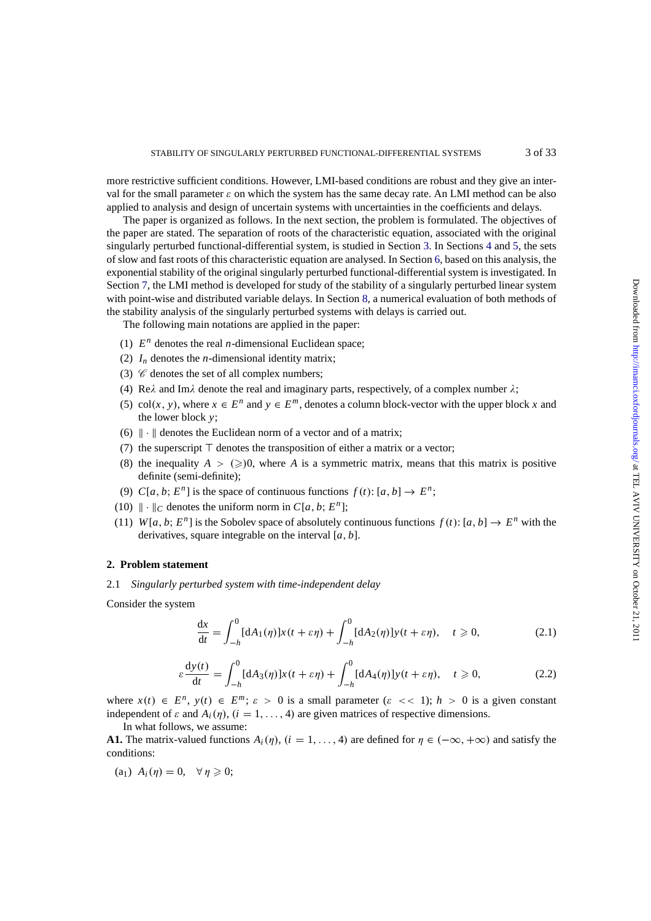<span id="page-2-0"></span>more restrictive sufficient conditions. However, LMI-based conditions are robust and they give an interval for the small parameter  $\varepsilon$  on which the system has the same decay rate. An LMI method can be also applied to analysis and design of uncertain systems with uncertainties in the coefficients and delays.

The paper is organized as follows. In the next section, the problem is formulated. The objectives of the paper are stated. The separation of roots of the characteristic equation, associated with the original singularly perturbed functional-differential system, is studied in Section 3. In Sections 4 and 5, the sets of slow and fast roots of this characteristic equation are analysed. In Section 6, based on this analysis, the exponential stability of the original singularly perturbed functional-differential system is investigated. In Section 7, the LMI method is developed for study of the stability of a singularly perturbed linear system with point-wise and distributed variable delays. In Section 8, a numerica[l e](#page-7-0)valuation of [b](#page-9-0)oth [me](#page-12-0)thods of the stability analysis of the singularly perturbed systems with delays is carr[ie](#page-14-0)d out.

The following main notations are applied in the paper:

- (1)  $E^n$  $E^n$  denotes the real *n*-dimensional Euclidean space[;](#page-25-0)
- (2)  $I_n$  denotes the *n*-dimensional identity matrix;
- (3)  $\mathcal C$  denotes the set of all complex numbers;
- (4) Re $\lambda$  and Im $\lambda$  denote the real and imaginary parts, respectively, of a complex number  $\lambda$ ;
- (5) col(*x*, *y*), where  $x \in E^n$  and  $y \in E^m$ , denotes a column block-vector with the upper block *x* and the lower block *y*;
- (6)  $\|\cdot\|$  denotes the Euclidean norm of a vector and of a matrix;
- (7) the superscript  $\top$  denotes the transposition of either a matrix or a vector;
- (8) the inequality  $A > (\geqslant)0$ , where *A* is a symmetric matrix, means that this matrix is positive definite (semi-definite);
- (9)  $C[a, b; E<sup>n</sup>]$  is the space of continuous functions  $f(t): [a, b] \to E<sup>n</sup>$ ;
- (10)  $\|\cdot\|_C$  denotes the uniform norm in  $C[a, b; E^n]$ ;
- (11) *W*[ $a, b$ ;  $E^n$ ] is the Sobolev space of absolutely continuous functions  $f(t)$ : [ $a, b$ ]  $\rightarrow E^n$  with the derivatives, square integrable on the interval [*a*, *b*].

#### **2. Problem statement**

2.1 *Singularly perturbed system with time-independent delay*

Consider the system

$$
\frac{dx}{dt} = \int_{-h}^{0} [dA_1(\eta)]x(t+\varepsilon\eta) + \int_{-h}^{0} [dA_2(\eta)]y(t+\varepsilon\eta), \quad t \ge 0,
$$
\n(2.1)

$$
\varepsilon \frac{dy(t)}{dt} = \int_{-h}^{0} [dA_3(\eta)]x(t+\varepsilon \eta) + \int_{-h}^{0} [dA_4(\eta)]y(t+\varepsilon \eta), \quad t \ge 0,
$$
 (2.2)

where  $x(t) \in E^n$ ,  $y(t) \in E^m$ ;  $\varepsilon > 0$  is a small parameter  $(\varepsilon << 1)$ ;  $h > 0$  is a given constant independent of  $\varepsilon$  and  $A_i(\eta)$ ,  $(i = 1, ..., 4)$  are given matrices of respective dimensions.

In what follows, we assume:

**A1.** The matrix-valued functions  $A_i(\eta)$ ,  $(i = 1, ..., 4)$  are defined for  $\eta \in (-\infty, +\infty)$  and satisfy the conditions:

(a<sub>1</sub>)  $A_i(\eta) = 0$ ,  $\forall \eta \geqslant 0$ ;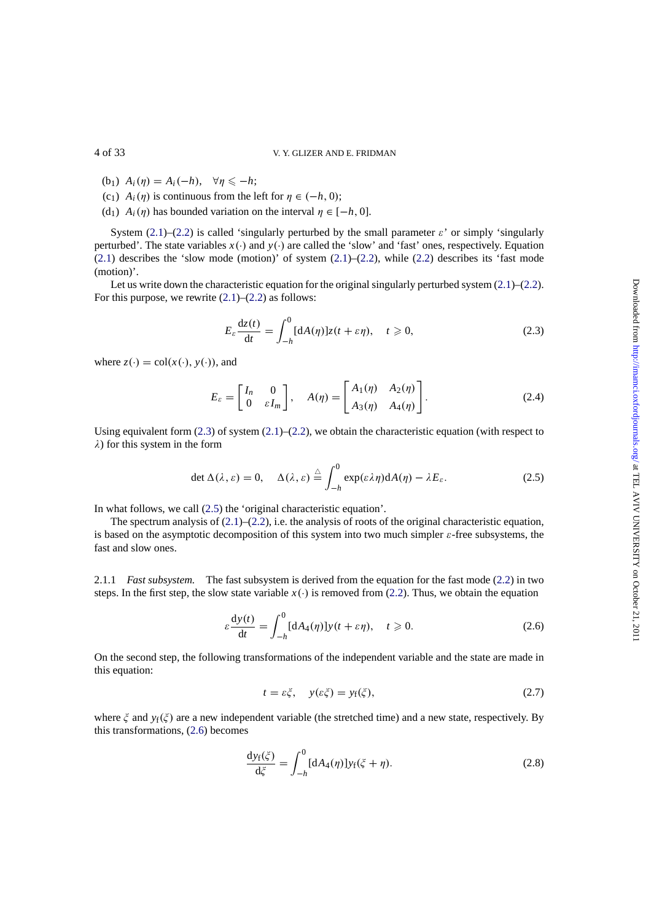- (b<sub>1</sub>)  $A_i(\eta) = A_i(-h), \quad \forall \eta \leq -h;$
- (c<sub>1</sub>)  $A_i(\eta)$  is continuous from the left for  $\eta \in (-h, 0)$ ;
- (d<sub>1</sub>)  $A_i(\eta)$  has bounded variation on the interval  $\eta \in [-h, 0]$ .

System (2.1)–(2.2) is called 'singularly perturbed by the small parameter  $\varepsilon$ ' or simply 'singularly perturbed'. The state variables *x*(∙) and *y*(∙) are called the 'slow' and 'fast' ones, respectively. Equation  $(2.1)$  describes the 'slow mode (motion)' of system  $(2.1)$ – $(2.2)$ , while  $(2.2)$  describes its 'fast mode (motion)'.

Let us w[rite](#page-2-0) do[wn](#page-2-0) the characteristic equation for the original singularly perturbed system  $(2.1)$ – $(2.2)$ . For this purpose, we rewrite  $(2.1)$ – $(2.2)$  as follows:

$$
E_{\varepsilon} \frac{dz(t)}{dt} = \int_{-h}^{0} [dA(\eta)]z(t + \varepsilon \eta), \quad t \geqslant 0,
$$
 (2.3)

where  $z(\cdot) = \text{col}(x(\cdot), y(\cdot))$ , and

$$
E_{\varepsilon} = \begin{bmatrix} I_n & 0 \\ 0 & \varepsilon I_m \end{bmatrix}, \quad A(\eta) = \begin{bmatrix} A_1(\eta) & A_2(\eta) \\ A_3(\eta) & A_4(\eta) \end{bmatrix}.
$$
 (2.4)

Using equivalent form  $(2.3)$  of system  $(2.1)$ – $(2.2)$ , we obtain the characteristic equation (with respect to  $\lambda$ ) for this system in the form

$$
\det \Delta(\lambda, \varepsilon) = 0, \quad \Delta(\lambda, \varepsilon) \stackrel{\triangle}{=} \int_{-h}^{0} \exp(\varepsilon \lambda \eta) \mathrm{d}A(\eta) - \lambda E_{\varepsilon}.
$$
 (2.5)

In what follows, we call (2.5) the 'original characteristic equation'.

The spectrum analysis of  $(2.1)$ – $(2.2)$ , i.e. the analysis of roots of the original characteristic equation, is based on the asymptotic decomposition of this system into two much simpler  $\varepsilon$ -free subsystems, the fast and slow ones.

2.1.1 *Fast subsystem.* The [fast](#page-2-0) s[ubsy](#page-2-0)stem is derived from the equation for the fast mode (2.2) in two steps. In the first step, the slow state variable  $x(·)$  is removed from (2.2). Thus, we obtain the equation

$$
\varepsilon \frac{\mathrm{d}y(t)}{\mathrm{d}t} = \int_{-h}^{0} [\mathrm{d}A_4(\eta)] y(t + \varepsilon \eta), \quad t \ge 0. \tag{2.6}
$$

On the second step, the following transformations of the independent variable and the state are made in this equation:

$$
t = \varepsilon \xi, \quad y(\varepsilon \xi) = y_{\rm f}(\xi), \tag{2.7}
$$

where  $\zeta$  and  $y_f(\zeta)$  are a new independent variable (the stretched time) and a new state, respectively. By this transformations, (2.6) becomes

$$
\frac{\mathrm{d}y_{\mathrm{f}}(\zeta)}{\mathrm{d}\zeta} = \int_{-h}^{0} [\mathrm{d}A_4(\eta)] y_{\mathrm{f}}(\zeta + \eta). \tag{2.8}
$$

<span id="page-3-0"></span>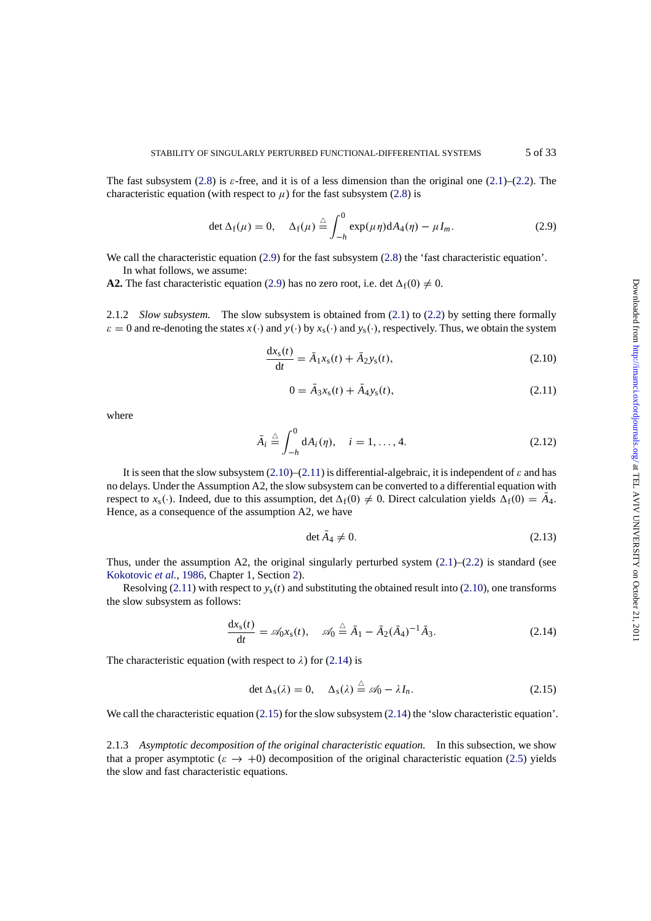<span id="page-4-0"></span>The fast subsystem (2.8) is  $\varepsilon$ -free, and it is of a less dimension than the original one (2.1)–(2.2). The characteristic equation (with respect to  $\mu$ ) for the fast subsystem (2.8) is

$$
\det \Delta_f(\mu) = 0, \quad \Delta_f(\mu) \stackrel{\triangle}{=} \int_{-h}^0 \exp(\mu \eta) dA_4(\eta) - \mu I_m. \tag{2.9}
$$

We call the characteristic equation (2.9) for the fast subsystem (2.[8\)](#page-3-0) [t](#page-3-0)he 'fast characteristic equation'. In what follows, we assume:

**A2.** The fast characteristic equation (2.9) has no zero root, i.e. det  $\Delta_f(0) \neq 0$ .

2.1.2 *Slow subsystem.* The slow subsystem is obtained fro[m](#page-3-0) [\(2.](#page-3-0)1) to (2.2) by setting there formally  $\varepsilon = 0$  and re-denoting the states *x*(⋅) and *y*(⋅) by *x*<sub>s</sub>(⋅) and *y*<sub>s</sub>(⋅), respectively. Thus, we obtain the system

$$
\frac{dx_s(t)}{dt} = \bar{A}_1 x_s(t) + \bar{A}_2 y_s(t),
$$
\n(2.10)

$$
0 = \bar{A}_3 x_s(t) + \bar{A}_4 y_s(t), \tag{2.11}
$$

where

$$
\bar{A}_i \stackrel{\triangle}{=} \int_{-h}^0 dA_i(\eta), \quad i = 1, \dots, 4. \tag{2.12}
$$

It is seen that the slow subsystem  $(2.10)$ – $(2.11)$  is differential-algebraic, it is independent of  $\varepsilon$  and has no delays. Under the Assumption A2, the slow subsystem can be converted to a differential equation with respect to  $x_s(\cdot)$ . Indeed, due to this assumption, det  $\Delta_f(0) \neq 0$ . Direct calculation yields  $\Delta_f(0) = A_4$ . Hence, as a consequence of the assumption A2, we have

$$
\det A_4 \neq 0. \tag{2.13}
$$

Thus, under the assumption A2, the original singularly perturbed system  $(2.1)$ – $(2.2)$  is standard (see Kokotovic *et al.*, 1986, Chapter 1, Section 2).

Resolving  $(2.11)$  with respect to  $y_s(t)$  and substituting the obtained result into  $(2.10)$ , one transforms the slow subsystem as follows:

$$
\frac{dx_s(t)}{dt} = \mathscr{A}_0 x_s(t), \quad \mathscr{A}_0 \stackrel{\triangle}{=} \bar{A}_1 - \bar{A}_2 (\bar{A}_4)^{-1} \bar{A}_3. \tag{2.14}
$$

The characteristic equation (with respect to  $\lambda$ ) for (2.14) is

$$
\det \Delta_{\rm s}(\lambda) = 0, \quad \Delta_{\rm s}(\lambda) \stackrel{\triangle}{=} \mathscr{A}_0 - \lambda I_n. \tag{2.15}
$$

We call the characteristic equation (2.15) for the slow subsystem (2.14) the 'slow characteristic equation'.

2.1.3 *Asymptotic decomposition of the original characteristic equation.* In this subsection, we show that a proper asymptotic  $(\varepsilon \to +0)$  decomposition of the original characteristic equation (2.5) yields the slow and fast characteristic equations.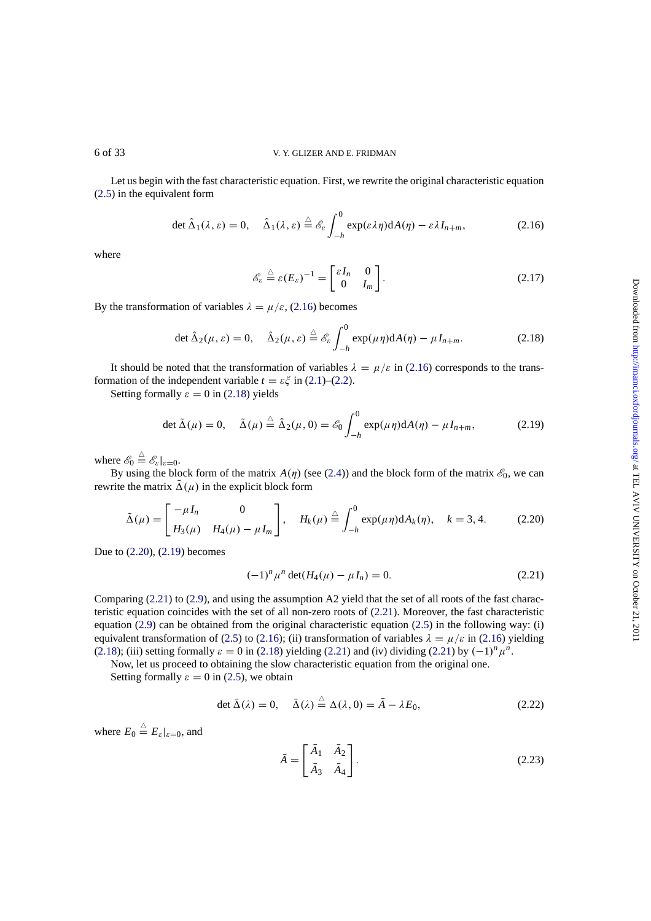Let us begin with the fast characteristic equation. First, we rewrite the original characteristic equation (2.5) in the equivalent form

$$
\det \hat{\Delta}_1(\lambda, \varepsilon) = 0, \quad \hat{\Delta}_1(\lambda, \varepsilon) \stackrel{\triangle}{=} \mathscr{E}_{\varepsilon} \int_{-h}^0 \exp(\varepsilon \lambda \eta) dA(\eta) - \varepsilon \lambda I_{n+m}, \tag{2.16}
$$

[whe](#page-3-0)re

$$
\mathscr{E}_{\varepsilon} \stackrel{\triangle}{=} \varepsilon (E_{\varepsilon})^{-1} = \begin{bmatrix} \varepsilon I_n & 0 \\ 0 & I_m \end{bmatrix}.
$$
 (2.17)

By the transformation of variables  $\lambda = \mu/\varepsilon$ , (2.16) becomes

$$
\det \hat{\Delta}_2(\mu, \varepsilon) = 0, \quad \hat{\Delta}_2(\mu, \varepsilon) \stackrel{\triangle}{=} \mathscr{E}_{\varepsilon} \int_{-h}^0 \exp(\mu \eta) dA(\eta) - \mu I_{n+m}.
$$
 (2.18)

It should be noted that the transformation of variables  $\lambda = \mu/\varepsilon$  in (2.16) corresponds to the transformation of the independent variable  $t = \varepsilon \xi$  in (2.1)–(2.2).

Setting formally  $\varepsilon = 0$  in (2.18) yields

$$
\det \tilde{\Delta}(\mu) = 0, \quad \tilde{\Delta}(\mu) \stackrel{\triangle}{=} \hat{\Delta}_2(\mu, 0) = \mathscr{E}_0 \int_{-h}^0 \exp(\mu \eta) dA(\eta) - \mu I_{n+m}, \tag{2.19}
$$

where  $\mathscr{E}_0 \stackrel{\triangle}{=} \mathscr{E}_\varepsilon|_{\varepsilon=0}$ .

By using the block form of the matrix  $A(\eta)$  (see (2.4)) and the block form of the matrix  $\mathscr{E}_0$ , we can rewrite the matrix  $\tilde{\Delta}(\mu)$  in the explicit block form

$$
\tilde{\Delta}(\mu) = \begin{bmatrix} -\mu I_n & 0 \\ H_3(\mu) & H_4(\mu) - \mu I_m \end{bmatrix}, \quad H_k(\mu) \stackrel{\triangle}{=} \int_{-h}^0 \exp(\mu \eta) dA_k(\eta), \quad k = 3, 4. \tag{2.20}
$$

Due to (2.20), (2.19) becomes

$$
(-1)^n \mu^n \det(H_4(\mu) - \mu I_n) = 0. \tag{2.21}
$$

Comparing (2.21) to (2.9), and using the assumption A2 yield that the set of all roots of the fast characteristic equation coincides with the set of all non-zero roots of (2.21). Moreover, the fast characteristic equation (2.9) can be obtained from the original characteristic equation (2.5) in the following way: (i) equivalent transformation of (2.5) to (2.16); (ii) transformation of variables  $\lambda = \mu/\varepsilon$  in (2.16) yielding (2.18); (iii) setting for[mal](#page-4-0)ly  $\varepsilon = 0$  in (2.18) yielding (2.21) and (iv) dividing (2.21) by  $(-1)^n \mu^n$ .

Now, let us proceed to obtaining the slow characteristic equation from the original one.

Settin[g fo](#page-4-0)rmally  $\varepsilon = 0$  in (2.5), we obtain

$$
\det \bar{\Delta}(\lambda) = 0, \quad \bar{\Delta}(\lambda) \stackrel{\triangle}{=} \Delta(\lambda, 0) = \bar{A} - \lambda E_0,
$$
\n(2.22)

where  $E_0 \triangleq E_{\varepsilon}|_{\varepsilon=0}$ , and

$$
\bar{A} = \begin{bmatrix} \bar{A}_1 & \bar{A}_2 \\ \bar{A}_3 & \bar{A}_4 \end{bmatrix} . \tag{2.23}
$$

<span id="page-5-0"></span>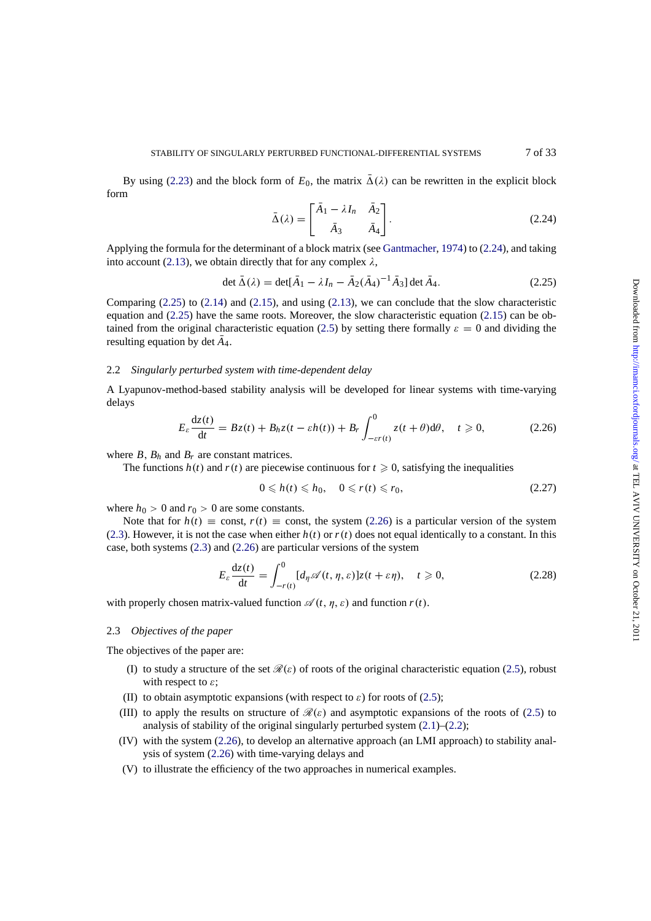<span id="page-6-0"></span>By using (2.23) and the block form of  $E_0$ , the matrix  $\overline{\Delta}(\lambda)$  can be rewritten in the explicit block form

$$
\bar{\Delta}(\lambda) = \begin{bmatrix} \bar{A}_1 - \lambda I_n & \bar{A}_2 \\ \bar{A}_3 & \bar{A}_4 \end{bmatrix} . \tag{2.24}
$$

Applying the formula for the determinant of a block matrix (see Gantmacher, 1974) to (2.24), and taking into account (2.13), we obtain directly that for any complex  $\lambda$ ,

$$
\det \bar{\Delta}(\lambda) = \det[\bar{A}_1 - \lambda I_n - \bar{A}_2(\bar{A}_4)^{-1}\bar{A}_3] \det \bar{A}_4.
$$
 (2.25)

Comparing  $(2.25)$  to  $(2.14)$  and  $(2.15)$ , and using  $(2.13)$ , we c[an conclude](#page-31-0) [that th](#page-31-0)e slow characteristic equation and [\(2.25](#page-4-0)) have the same roots. Moreover, the slow characteristic equation (2.15) can be obtained from the original characteristic equation (2.5) by setting there formally  $\varepsilon = 0$  and dividing the resulting equation by det  $\bar{A}_4$ .

# 2.2 *Singularly perturbed system with time-dependent delay*

A Lyapunov-method-based stability analysis wi[ll](#page-3-0) [b](#page-3-0)e developed for linear systems with time-varying delays

$$
E_{\varepsilon} \frac{dz(t)}{dt} = Bz(t) + B_h z(t - \varepsilon h(t)) + B_r \int_{-\varepsilon r(t)}^0 z(t + \theta) d\theta, \quad t \ge 0,
$$
 (2.26)

where  $B$ ,  $B_h$  and  $B_r$  are constant matrices.

The functions  $h(t)$  and  $r(t)$  are piecewise continuous for  $t \geq 0$ , satisfying the inequalities

$$
0 \leqslant h(t) \leqslant h_0, \quad 0 \leqslant r(t) \leqslant r_0,\tag{2.27}
$$

where  $h_0 > 0$  and  $r_0 > 0$  are some constants.

Note that for  $h(t) \equiv \text{const}, r(t) \equiv \text{const}$ , the system (2.26) is a particular version of the system (2.3). However, it is not the case when either  $h(t)$  or  $r(t)$  does not equal identically to a constant. In this case, both systems (2.3) and (2.26) are particular versions of the system

$$
E_{\varepsilon} \frac{dz(t)}{dt} = \int_{-r(t)}^{0} [d_{\eta} \mathscr{A}(t, \eta, \varepsilon)] z(t + \varepsilon \eta), \quad t \ge 0,
$$
 (2.28)

with properly chose[n m](#page-3-0)atrix-valued function  $\mathscr{A}(t, \eta, \varepsilon)$  and function  $r(t)$ .

# 2.3 *Objectives of the paper*

The objectives of the paper are:

- (I) to study a structure of the set  $\mathcal{R}(\varepsilon)$  of roots of the original characteristic equation (2.5), robust with respect to  $\varepsilon$ ;
- (II) to obtain asymptotic expansions (with respect to  $\varepsilon$ ) for roots of (2.5);
- (III) to apply the results on structure of  $\mathcal{R}(\varepsilon)$  and asymptotic expansions of the roots of (2.5) to analysis of stability of the original singularly perturbed system (2.1)–(2.2);
- (IV) with the system (2.26), to develop an alternative approach (an LMI approach) to stability analysis of system (2.26) with time-varying delays and
- (V) to illustrate the efficiency of the two approaches in numerical examples.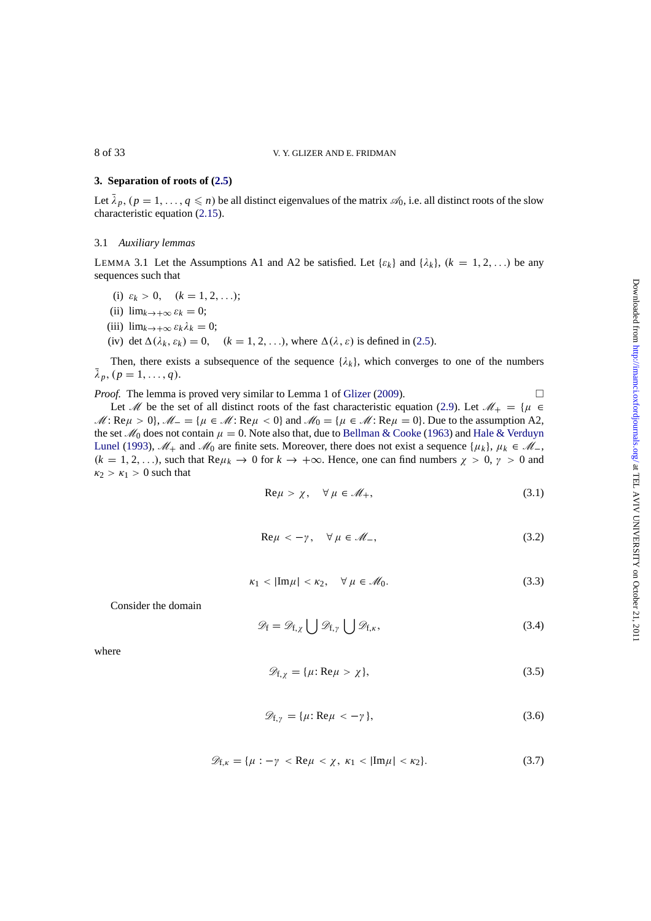# **3. Separation of roots of (2.5)**

Let  $\bar{\lambda}_p$ ,  $(p = 1, \ldots, q \leq n)$  be all distinct eigenvalues of the matrix  $\mathcal{A}_0$ , i.e. all distinct roots of the slow characteristic equation (2.15).

# 3.1 *Auxiliary lemmas*

LEMMA 3.1 Let the A[ssum](#page-4-0)ptions A1 and A2 be satisfied. Let  $\{\varepsilon_k\}$  and  $\{\lambda_k\}$ ,  $(k = 1, 2, ...)$  be any sequences such that

- (i)  $\varepsilon_k > 0$ ,  $(k = 1, 2, ...)$ ;
- (ii)  $\lim_{k \to +\infty} \varepsilon_k = 0;$
- (iii)  $\lim_{k \to +\infty} \varepsilon_k \lambda_k = 0;$
- (iv) det  $\Delta(\lambda_k, \varepsilon_k) = 0$ ,  $(k = 1, 2, \ldots)$ , where  $\Delta(\lambda, \varepsilon)$  is defined in (2.5).

Then, there exists a subsequence of the sequence  $\{\lambda_k\}$ , which converges to one of the numbers  $\bar{\lambda}_p, (p = 1, \ldots, q).$ 

*Proof.* The lemma is proved very similar to Lemma 1 of Glizer (2009).  $\Box$ 

Let M be the set of all distinct roots of the fast characteristic equation (2.9). Let  $\mathcal{M}_+ = {\mu \in \mathbb{R}^n}$  $M: \text{Re}\mu > 0$ ,  $M_- = \{\mu \in \mathcal{M}: \text{Re}\mu < 0\}$  and  $M_0 = \{\mu \in \mathcal{M}: \text{Re}\mu = 0\}$ . Due to the assumption A2, the set  $\mathcal{M}_0$  does not contain  $\mu = 0$ . Note also that, due to Bellman & Cooke (1963) and Hale & Verduyn Lunel (1993),  $\mathcal{M}_+$  and  $\mathcal{M}_0$  are finite sets. Moreover, th[ere does not e](#page-31-0)xist a sequence { $\mu_k$ },  $\mu_k \in \mathcal{M}_-$ ,  $(k = 1, 2, \ldots)$ , such that Re $\mu_k \to 0$  for  $k \to +\infty$ . Hence, one can find num[bers](#page-4-0)  $\chi > 0$ ,  $\gamma > 0$  and  $\kappa_2 > \kappa_1 > 0$  such that

$$
\text{Re}\,\mu > \chi, \quad \forall \,\mu \in \mathcal{M}_+, \tag{3.1}
$$

$$
\text{Re}\,\mu < -\gamma \,, \quad \forall \,\mu \in \mathcal{M}_-, \tag{3.2}
$$

$$
\kappa_1 < |\text{Im}\,\mu| < \kappa_2, \quad \forall \,\mu \in \mathcal{M}_0. \tag{3.3}
$$

Consider the domain

$$
\mathscr{D}_{f} = \mathscr{D}_{f,\chi} \bigcup \mathscr{D}_{f,\gamma} \bigcup \mathscr{D}_{f,\kappa},\tag{3.4}
$$

where

$$
\mathscr{D}_{f,\chi} = \{\mu : \text{Re}\,\mu > \chi\},\tag{3.5}
$$

$$
\mathscr{D}_{f,\gamma} = \{ \mu : \text{Re}\,\mu < -\gamma \},\tag{3.6}
$$

$$
\mathscr{D}_{f,\kappa} = \{\mu : -\gamma < \text{Re}\,\mu < \chi, \ \kappa_1 < |\text{Im}\,\mu| < \kappa_2\}. \tag{3.7}
$$

<span id="page-7-0"></span>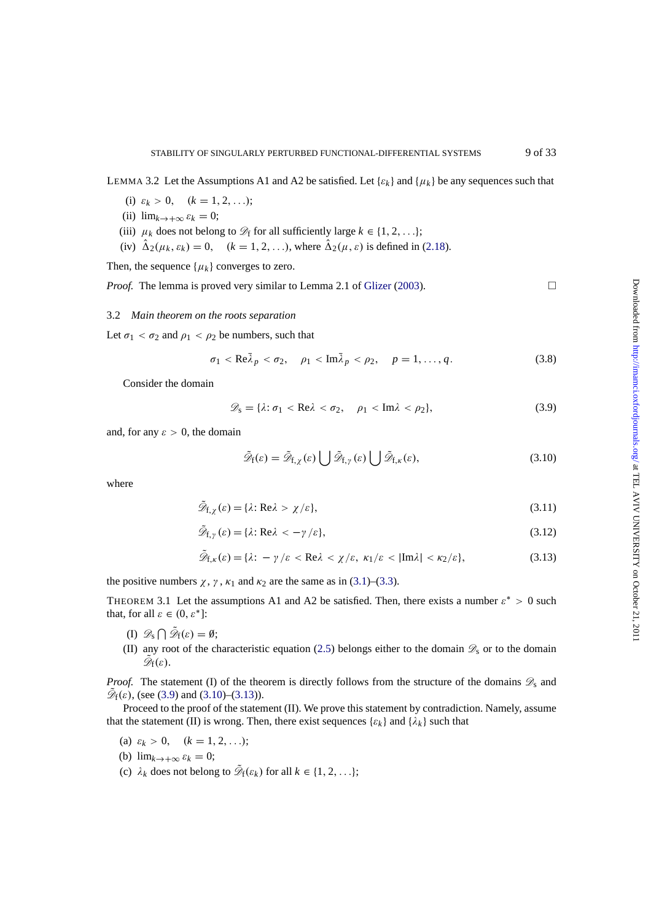<span id="page-8-0"></span>LEMMA 3.2 Let the Assumptions A1 and A2 be satisfied. Let  $\{\varepsilon_k\}$  and  $\{\mu_k\}$  be any sequences such that

- (i)  $\varepsilon_k > 0$ ,  $(k = 1, 2, ...)$ ;
- (ii)  $\lim_{k \to +\infty} \varepsilon_k = 0;$
- (iii)  $\mu_k$  does not belong to  $\mathcal{D}_f$  for all sufficiently large  $k \in \{1, 2, \ldots\}$ ;
- (iv)  $\hat{\Delta}_2(\mu_k, \varepsilon_k) = 0$ ,  $(k = 1, 2, \ldots)$ , where  $\hat{\Delta}_2(\mu, \varepsilon)$  is defined in (2.18).

Then, the sequence  $\{\mu_k\}$  converges to zero.

*Proof.* The lemma is proved very similar to Lemma 2.1 of Glizer (2003).  $\Box$ 

#### 3.2 *Main theorem on the roots separation*

Let  $\sigma_1 < \sigma_2$  and  $\rho_1 < \rho_2$  be numbers, such that

$$
\sigma_1 < \text{Re}\bar{\lambda}_p < \sigma_2, \quad \rho_1 < \text{Im}\bar{\lambda}_p < \rho_2, \quad p = 1, \dots, q. \tag{3.8}
$$

Consider the domain

$$
\mathscr{D}_s = \{\lambda : \sigma_1 < \text{Re}\lambda < \sigma_2, \quad \rho_1 < \text{Im}\lambda < \rho_2\},\tag{3.9}
$$

and, for any  $\varepsilon > 0$ , the domain

$$
\tilde{\mathscr{D}}_{f}(\varepsilon) = \tilde{\mathscr{D}}_{f,\chi}(\varepsilon) \bigcup \tilde{\mathscr{D}}_{f,\gamma}(\varepsilon) \bigcup \tilde{\mathscr{D}}_{f,\kappa}(\varepsilon),\tag{3.10}
$$

where

$$
\mathscr{D}_{f,\chi}(\varepsilon) = \{\lambda : \text{Re}\lambda > \chi/\varepsilon\},\tag{3.11}
$$

$$
\tilde{\mathcal{D}}_{f,\gamma}(\varepsilon) = \{\lambda : \text{Re}\lambda < -\gamma/\varepsilon\},\tag{3.12}
$$

$$
\mathscr{D}_{f,\kappa}(\varepsilon) = \{\lambda: -\gamma/\varepsilon < \text{Re}\lambda < \chi/\varepsilon, \ \kappa_1/\varepsilon < |\text{Im}\lambda| < \kappa_2/\varepsilon\},\tag{3.13}
$$

the positive numbers  $\chi$ ,  $\gamma$ ,  $\kappa_1$  and  $\kappa_2$  are the same as in (3.1)–(3.3).

THEOREM 3.1 Let the assumptions A1 and A2 be satisfied. Then, there exists a number  $\varepsilon^* > 0$  such that, for all  $\varepsilon \in (0, \varepsilon^*]$ :

- (I)  $\mathscr{D}_s \bigcap \tilde{\mathscr{D}}_f(\varepsilon) = \emptyset;$
- (II) any root of the characteristic equation (2.5) belongs either to the domain  $\mathscr{D}_s$  or to the domain  $\mathscr{D}_{f}(\varepsilon)$ .

*Proof.* The statement (I) of the theorem is directly follows from the structure of the domains  $\mathscr{D}_s$  and  $\mathscr{D}_f(\varepsilon)$ , (see (3.9) and (3.10)–(3.13)).

Proceed to the proof of the statement (II). W[e](#page-3-0) [pro](#page-3-0)ve this statement by contradiction. Namely, assume that the statement (II) is wrong. Then, there exist sequences  $\{\varepsilon_k\}$  and  $\{\lambda_k\}$  such that

- (a)  $\varepsilon_k > 0$ ,  $(k = 1, 2, ...)$ ;
- (b)  $\lim_{k \to +\infty} \varepsilon_k = 0;$
- (c)  $\lambda_k$  does not belong to  $\tilde{\mathcal{D}}_f(\varepsilon_k)$  for all  $k \in \{1, 2, \ldots\};$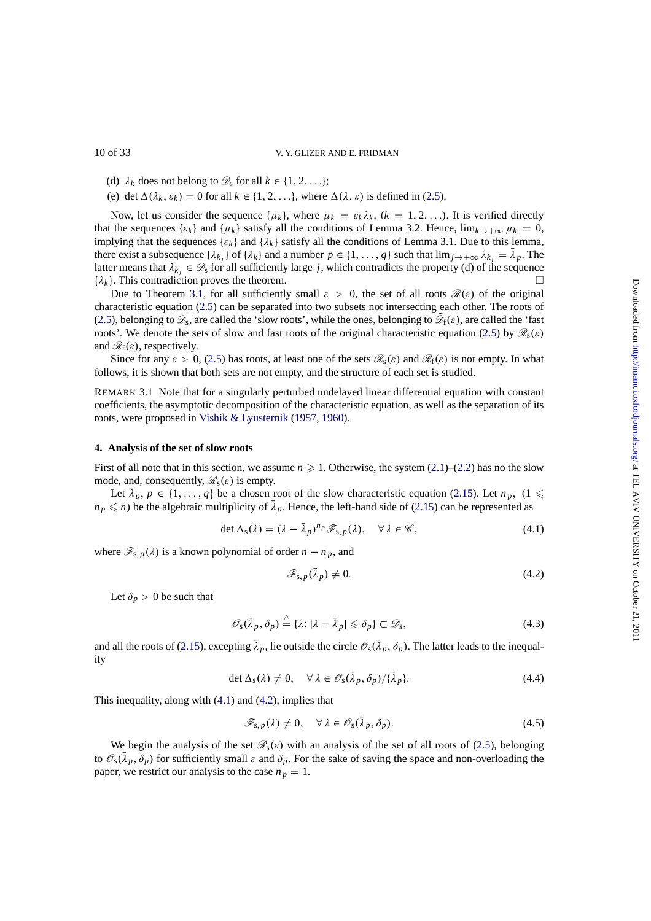- (d)  $\lambda_k$  does not belong to  $\mathcal{D}_s$  for all  $k \in \{1, 2, \ldots\};$
- (e) det  $\Delta(\lambda_k, \varepsilon_k) = 0$  for all  $k \in \{1, 2, \ldots\}$ , where  $\Delta(\lambda, \varepsilon)$  is defined in (2.5).

Now, let us consider the sequence  $\{\mu_k\}$ , where  $\mu_k = \varepsilon_k \lambda_k$ ,  $(k = 1, 2, \ldots)$ . It is verified directly that the sequences  $\{\varepsilon_k\}$  and  $\{\mu_k\}$  satisfy all the conditions of Lemma 3.2. Hence,  $\lim_{k\to+\infty}\mu_k=0$ , implying that the sequences  $\{\varepsilon_k\}$  and  $\{\lambda_k\}$  satisfy all the conditions of Lemma 3.1. Due to this lemma, there exist a subsequence  $\{\lambda_k\}$  of  $\{\lambda_k\}$  and a number  $p \in \{1, \ldots, q\}$  such th[at](#page-3-0)  $\lim_{j \to +\infty} \lambda_{k_j} = \overline{\lambda}_p$  $\lim_{j \to +\infty} \lambda_{k_j} = \overline{\lambda}_p$  $\lim_{j \to +\infty} \lambda_{k_j} = \overline{\lambda}_p$ . The latter means that  $\lambda_{kj} \in \mathcal{D}_s$  for all sufficiently large *j*, which contradicts the property (d) of the sequence  $\{i_k\}$ . This contradiction proves the theorem  $\{\lambda_k\}$ . This contradiction proves the theorem.

Due to Theorem 3.1, for all sufficiently small  $\varepsilon > 0$ , the set of all roots  $\mathcal{R}(\varepsilon)$  of the original characteristic equation (2.5) can be separated into two subsets not intersecting each other. The roots of (2.5), belonging to  $\mathscr{D}_s$ , are called the 'slow roots', while the ones, belonging to  $\mathscr{D}_f(\varepsilon)$ , are called the 'fast roots'. We denote the sets of slow and fast roots of the original characteristic equation (2.5) by  $\mathscr{R}_s(\varepsilon)$ and  $\mathcal{R}_f(\varepsilon)$ , respective[ly.](#page-8-0)

Since for any  $\varepsilon > 0$ [, \(2](#page-3-0).5) has roots, at least one of the sets  $\mathcal{R}_s(\varepsilon)$  and  $\mathcal{R}_f(\varepsilon)$  is not empty. In what [follo](#page-3-0)ws, it is shown that both sets are not empty, and the structure of each set is studied.

REMARK 3.1 Note that for a singularly perturbed undelayed linear differential equation [wit](#page-3-0)h constant coefficients, the asymptotic decomposition of the characteristic equation, as well as the separation of its roots, were proposed in V[ishi](#page-3-0)k & Lyusternik (1957, 1960).

# **4. Analysis of the set of slow roots**

First of all note that in t[his section, we assum](#page-32-0)e  $n \geq 1$ . Otherwise, the system (2.1)–(2.2) has no the slow mode, and, consequently,  $\mathcal{R}_s(\varepsilon)$  is empty.

Let  $\bar{\lambda}_p$ ,  $p \in \{1, ..., q\}$  be a chosen root of the slow characteristic equation (2.15). Let  $n_p$ , (1  $\leq$  $n_p \leq n$ ) be the algebraic multiplicity of  $\overline{\lambda}_p$ . Hence, the left-hand side of (2.15) can be represented as

$$
\det \Delta_{\mathbf{s}}(\lambda) = (\lambda - \bar{\lambda}_p)^{n_p} \mathcal{F}_{\mathbf{s},p}(\lambda), \quad \forall \lambda \in \mathscr{C},
$$
\n(4.1)

where  $\mathcal{F}_{s,p}(\lambda)$  is a known polynomial of order  $n - n_p$ , and

$$
\mathscr{F}_{s,p}(\bar{\lambda}_p) \neq 0. \tag{4.2}
$$

Let  $\delta_p > 0$  be such that

$$
\mathscr{O}_{\mathsf{s}}(\bar{\lambda}_p, \delta_p) \stackrel{\triangle}{=} \{ \lambda \colon |\lambda - \bar{\lambda}_p| \leq \delta_p \} \subset \mathscr{D}_{\mathsf{s}},\tag{4.3}
$$

and all the roots of (2.15), excepting  $\bar{\lambda}_p$ , lie outside the circle  $\mathcal{O}_s(\bar{\lambda}_p, \delta_p)$ . The latter leads to the inequality

$$
\det \Delta_{\mathcal{S}}(\lambda) \neq 0, \quad \forall \lambda \in \mathcal{O}_{\mathcal{S}}(\bar{\lambda}_p, \delta_p) / {\{\bar{\lambda}_p\}}.
$$
\n(4.4)

This inequality, alo[ng wi](#page-4-0)th (4.1) and (4.2), implies that

$$
\mathscr{F}_{s,p}(\lambda) \neq 0, \quad \forall \lambda \in \mathscr{O}_s(\bar{\lambda}_p, \delta_p). \tag{4.5}
$$

We begin the analysis of the set  $\mathcal{R}_s(\varepsilon)$  with an analysis of the set of all roots of (2.5), belonging to  $\mathcal{O}_s(\bar{\lambda}_p, \delta_p)$  for sufficiently small  $\varepsilon$  and  $\delta_p$ . For the sake of saving the space and non-overloading the paper, we restrict our analysis to the case  $n_p = 1$ .

<span id="page-9-0"></span>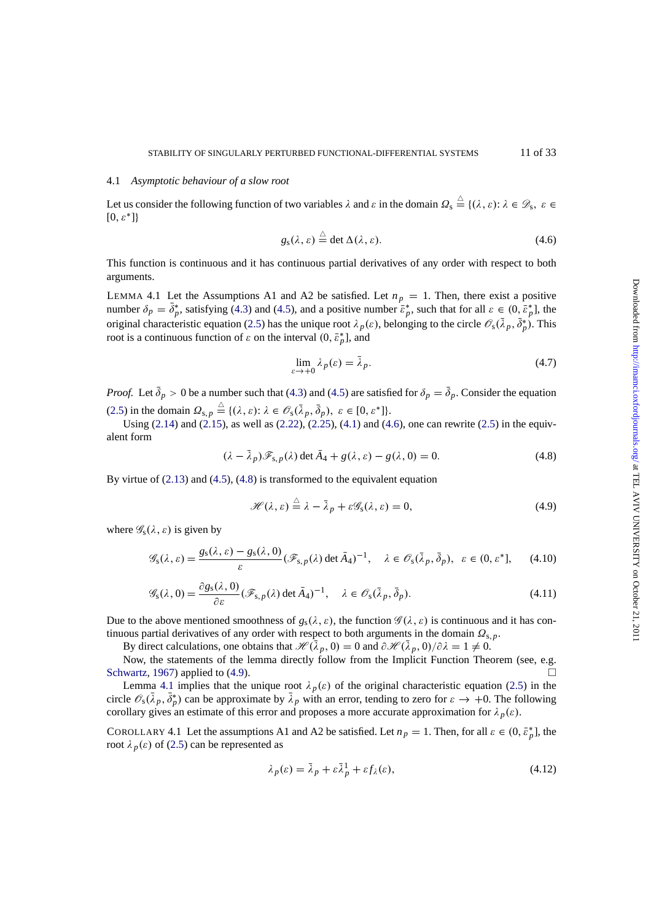#### <span id="page-10-0"></span>4.1 *Asymptotic behaviour of a slow root*

Let us consider the following function of two variables  $\lambda$  and  $\varepsilon$  in the domain  $\Omega_s \stackrel{\triangle}{=} \{(\lambda, \varepsilon): \lambda \in \mathcal{D}_s, \varepsilon \in \Omega\}$  $[0, \varepsilon^*]$ 

$$
g_{\rm s}(\lambda,\varepsilon) \stackrel{\triangle}{=} \det \Delta(\lambda,\varepsilon). \tag{4.6}
$$

This function is continuous and it has continuous partial derivatives of any order with respect to both arguments.

LEMMA 4.1 Let the Assumptions A1 and A2 be satisfied. Let  $n_p = 1$ . Then, there exist a positive number  $\delta_p = \delta_p^*$ , satisfying (4.3) and (4.5), and a positive number  $\bar{\varepsilon}_p^*$ , such that for all  $\varepsilon \in (0, \bar{\varepsilon}_p^*]$ , the original characteristic equation (2.5) has the unique root  $\lambda_p(\varepsilon)$ , belonging to the circle  $\mathscr{O}_s(\lambda_p, \delta_p^*)$ . This root is a continuous function of  $\varepsilon$  on the interval  $(0, \bar{\varepsilon}_p^*)$ , and

$$
\lim_{\varepsilon \to +0} \lambda_p(\varepsilon) = \bar{\lambda}_p. \tag{4.7}
$$

*Proof.* Let  $\bar{\delta}_p > 0$  be a number such that (4.3) and (4.5) are satisfied for  $\delta_p = \bar{\delta}_p$ . Consider the equation (2.5) in the domain  $\Omega_{s,p} \stackrel{\triangle}{=} \{(\lambda,\varepsilon): \lambda \in \mathcal{O}_s(\bar{\lambda}_p, \bar{\delta}_p), \ \varepsilon \in [0,\varepsilon^*]\}.$ 

Using (2.14) and (2.15), as well as (2.22), (2.25), (4.1) and (4.6), one can rewrite (2.5) in the equivalent form

$$
(\lambda - \bar{\lambda}_p)\mathscr{F}_{s,p}(\lambda) \det \bar{A}_4 + g(\lambda, \varepsilon) - g(\lambda, 0) = 0.
$$
 (4.8)

By virtue [of \(2.1](#page-4-0)3) an[d \(4.5](#page-4-0)), (4.8) is tr[ansfo](#page-5-0)r[med to](#page-6-0) t[he e](#page-9-0)quivalent equation

$$
\mathcal{H}(\lambda,\varepsilon) \stackrel{\triangle}{=} \lambda - \bar{\lambda}_p + \varepsilon \mathcal{G}_{\rm s}(\lambda,\varepsilon) = 0, \tag{4.9}
$$

where  $\mathscr{G}_{s}(\lambda,\varepsilon)$  [is g](#page-4-0)iven [by](#page-9-0)

$$
\mathscr{G}_{s}(\lambda,\varepsilon) = \frac{g_{s}(\lambda,\varepsilon) - g_{s}(\lambda,0)}{\varepsilon} (\mathscr{F}_{s,p}(\lambda)\det\bar{A}_4)^{-1}, \quad \lambda \in \mathscr{O}_{s}(\bar{\lambda}_{p},\bar{\delta}_{p}), \quad \varepsilon \in (0,\varepsilon^{*}], \tag{4.10}
$$

$$
\mathcal{G}_{s}(\lambda,0) = \frac{\partial g_{s}(\lambda,0)}{\partial \varepsilon} (\mathcal{F}_{s,p}(\lambda) \det \bar{A}_4)^{-1}, \quad \lambda \in \mathcal{O}_{s}(\bar{\lambda}_{p},\bar{\delta}_{p}).
$$
\n(4.11)

Due to the above mentioned smoothness of  $g_s(\lambda, \varepsilon)$ , the function  $\mathscr{G}(\lambda, \varepsilon)$  is continuous and it has continuous partial derivatives of any order with respect to both arguments in the domain  $\Omega_{s,p}$ .

By direct calculations, one obtains that  $\mathcal{H}(\lambda_p, 0) = 0$  and  $\partial \mathcal{H}(\lambda_p, 0)/\partial \lambda = 1 \neq 0$ .

Now, the statements of the lemma directly follow from the Implicit Function Theorem (see, e.g. Schwartz, 1967) applied to (4.9).

Lemma 4.1 implies that the unique root  $\lambda_p(\varepsilon)$  of the original characteristic equation (2.5) in the circle  $\mathcal{O}_s(\lambda_p, \delta_p^*)$  can be approximate by  $\lambda_p$  with an error, tending to zero for  $\varepsilon \to +0$ . The following corollary gives an estimate of this error and proposes a more accurate approximation for  $\lambda_p(\varepsilon)$ .

[COROLLARY](#page-31-0) 4.1 Let the assumptions A1 and A2 be satisfied. Let  $n_p = 1$ . Then, for all  $\varepsilon \in (0, \bar{\varepsilon}_p^*]$  $\varepsilon \in (0, \bar{\varepsilon}_p^*]$  $\varepsilon \in (0, \bar{\varepsilon}_p^*]$ , the root  $\lambda_p(\varepsilon)$  of (2.5) can be represented as

$$
\lambda_p(\varepsilon) = \bar{\lambda}_p + \varepsilon \bar{\lambda}_p^1 + \varepsilon f_\lambda(\varepsilon), \tag{4.12}
$$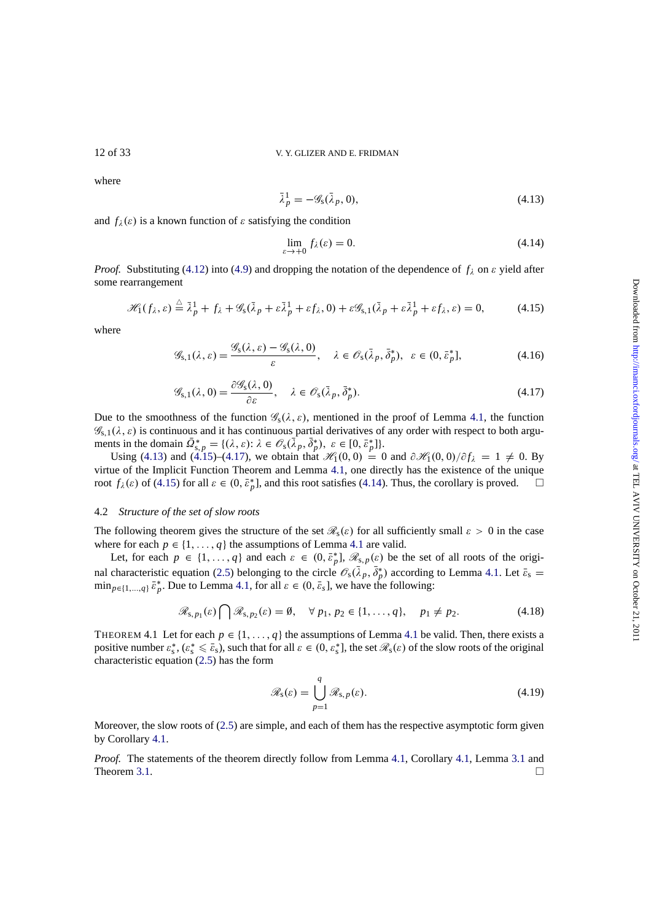where

$$
\bar{\lambda}_p^1 = -\mathscr{G}_s(\bar{\lambda}_p, 0),\tag{4.13}
$$

and  $f_{\lambda}(\varepsilon)$  is a known function of  $\varepsilon$  satisfying the condition

$$
\lim_{\varepsilon \to +0} f_{\lambda}(\varepsilon) = 0. \tag{4.14}
$$

*Proof.* Substituting (4.12) into (4.9) and dropping the notation of the dependence of  $f_\lambda$  on  $\varepsilon$  yield after some rearrangement

$$
\mathscr{H}_1(f_\lambda, \varepsilon) \stackrel{\triangle}{=} \bar{\lambda}_p^1 + f_\lambda + \mathscr{G}_s(\bar{\lambda}_p + \varepsilon \bar{\lambda}_p^1 + \varepsilon f_\lambda, 0) + \varepsilon \mathscr{G}_{s,1}(\bar{\lambda}_p + \varepsilon \bar{\lambda}_p^1 + \varepsilon f_\lambda, \varepsilon) = 0,
$$
 (4.15)

where

$$
\mathscr{G}_{s,1}(\lambda,\varepsilon) = \frac{\mathscr{G}_{s}(\lambda,\varepsilon) - \mathscr{G}_{s}(\lambda,0)}{\varepsilon}, \quad \lambda \in \mathscr{O}_{s}(\bar{\lambda}_{p},\bar{\delta}_{p}^{*}), \quad \varepsilon \in (0,\bar{\varepsilon}_{p}^{*}],
$$
\n(4.16)

$$
\mathcal{G}_{s,1}(\lambda,0) = \frac{\partial \mathcal{G}_s(\lambda,0)}{\partial \varepsilon}, \quad \lambda \in \mathcal{O}_s(\bar{\lambda}_p, \bar{\delta}_p^*).
$$
\n(4.17)

Due to the smoothness of the function  $\mathscr{G}_{s}(\lambda, \varepsilon)$ , mentioned in the proof of Lemma 4.1, the function  $\mathscr{G}_{s,1}(\lambda,\varepsilon)$  is continuous and it has continuous partial derivatives of any order with respect to both arguments in the domain  $\Omega_{s,p}^* = \{(\lambda, \varepsilon): \lambda \in \mathcal{O}_s(\lambda_p, \delta_p^*), \varepsilon \in [0, \bar{\varepsilon}_p^*]\}.$ 

Using (4.13) and (4.15)–(4.17), we obtain that  $\mathcal{H}_1(0, 0) = 0$  and  $\partial \mathcal{H}_1(0, 0)/\partial f_\lambda = 1 \neq 0$ . By virtue of the Implicit Function Theorem and Lemma 4.1, one directly has the existe[nce](#page-10-0) of the unique root  $f_\lambda(\varepsilon)$  of (4.15) for all  $\varepsilon \in (0, \bar{\varepsilon}_p^*]$ , and this root satisfies (4.14). Thus, the corollary is proved.  $\square$ 

# 4.2 *Structure of the set of slow roots*

The following theorem gives the structure of the set  $\mathcal{R}_s(\varepsilon)$  $\mathcal{R}_s(\varepsilon)$  $\mathcal{R}_s(\varepsilon)$  for all sufficiently small  $\varepsilon > 0$  in the case where for each  $p \in \{1, ..., q\}$  the assumptions of Lemma 4.1 are valid.

Let, for each  $p \in \{1, ..., q\}$  and each  $\varepsilon \in (0, \bar{\varepsilon}_p^*]$ ,  $\mathcal{R}_{s,p}(\varepsilon)$  be the set of all roots of the original characteristic equation (2.5) belonging to the circle  $\mathcal{O}_s(\lambda_p, \delta_p^*)$  according to Lemma 4.1. Let  $\bar{\varepsilon}_s$  =  $\min_{p \in \{1, ..., q\}} \bar{\varepsilon}_p^*$ . Due to Lemma 4.1, for all  $\varepsilon \in (0, \bar{\varepsilon}_s]$ , we have the following:

$$
\mathscr{R}_{s,p_1}(\varepsilon) \bigcap \mathscr{R}_{s,p_2}(\varepsilon) = \emptyset, \quad \forall \ p_1, p_2 \in \{1, \ldots, q\}, \quad p_1 \neq p_2. \tag{4.18}
$$

THEOREM 4.1 Let for each  $p \in \{1, \ldots, q\}$  $p \in \{1, \ldots, q\}$  [the](#page-10-0) assumptions of Lemma 4.1 be valid. Then, there exists a positive number  $\varepsilon_s^*$ ,  $(\varepsilon_s^* \leq \bar{\varepsilon}_s)$ , such that for all  $\varepsilon \in (0, \varepsilon_s^*]$ , the set  $\mathcal{R}_s(\varepsilon)$  of the slow roots of the original characteristic equation (2.5) has the form

$$
\mathscr{R}_{s}(\varepsilon) = \bigcup_{p=1}^{q} \mathscr{R}_{s,p}(\varepsilon).
$$
 (4.19)

Moreover, the slow roots of (2.5) are simple, and each of them has the respective asymptotic form given by Corollary 4.1.

*Proof.* The statements of the theorem directly follow from Lemma 4.1, Corollary 4.1, Lemma 3.1 and Theorem 3.1.  $\Box$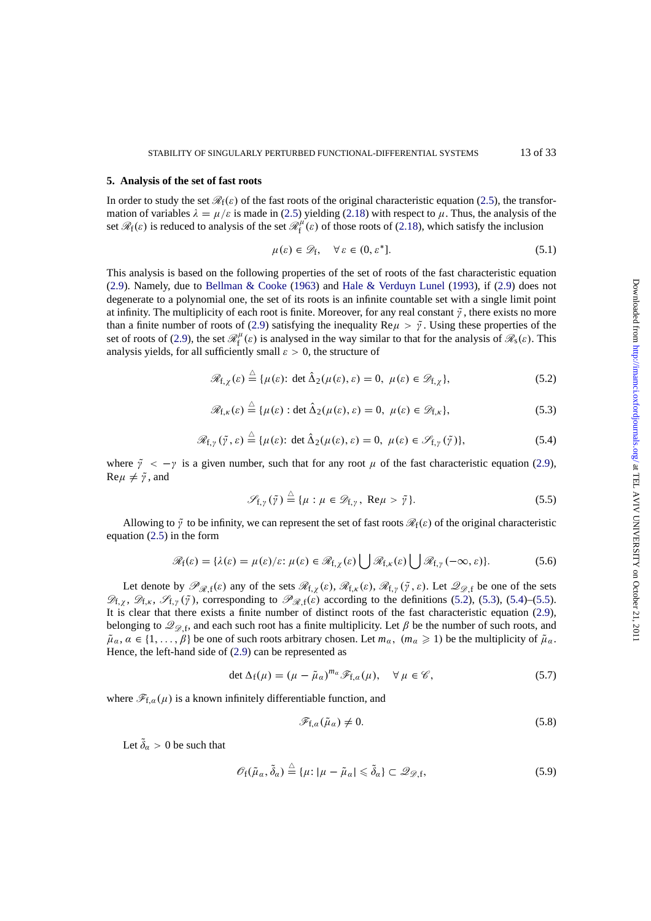#### <span id="page-12-0"></span>**5. Analysis of the set of fast roots**

In order to study the set  $\mathcal{R}_f(\varepsilon)$  of the fast roots of the original characteristic equation (2.5), the transformation of variables  $\lambda = \mu/\varepsilon$  is made in (2.5) yielding (2.18) with respect to  $\mu$ . Thus, the analysis of the set  $\mathcal{R}_f(\varepsilon)$  is reduced to analysis of the set  $\mathcal{R}_f^{\mu}(\varepsilon)$  of those roots of (2.18), which satisfy the inclusion

$$
\mu(\varepsilon) \in \mathcal{D}_{f}, \quad \forall \, \varepsilon \in (0, \varepsilon^*]. \tag{5.1}
$$

This analysis is based on the following [prop](#page-3-0)erties of t[he](#page-5-0) [se](#page-5-0)t of roots of the fast characteristic equation (2.9). Namely, due to Bellman & Cooke (1963) and Hale & Ver[duyn](#page-5-0) Lunel (1993), if (2.9) does not degenerate to a polynomial one, the set of its roots is an infinite countable set with a single limit point at infinity. The multiplicity of each root is finite. Moreover, for any real constant  $\tilde{\gamma}$ , there exists no more than a finite number of roots of (2.9) satisfying the inequality  $\text{Re}\mu > \tilde{\gamma}$ . Using these properties of the [set o](#page-4-0)f roots of (2.9), the set  $\mathcal{R}_f^{\mu}(\varepsilon)$  $\mathcal{R}_f^{\mu}(\varepsilon)$  $\mathcal{R}_f^{\mu}(\varepsilon)$  [is anal](#page-30-0)y[sed in](#page-30-0) the [way similar to that for the analy](#page-31-0)sis of  $\mathcal{R}_s(\varepsilon)$ . This analysis yields, for all sufficiently small  $\varepsilon > 0$ , the structure of

$$
\mathscr{R}_{f,\chi}(\varepsilon) \stackrel{\triangle}{=} \{ \mu(\varepsilon) \colon \det \hat{\Delta}_2(\mu(\varepsilon), \varepsilon) = 0, \ \mu(\varepsilon) \in \mathscr{D}_{f,\chi} \},\tag{5.2}
$$

$$
\mathscr{R}_{f,\kappa}(\varepsilon) \stackrel{\triangle}{=} \{ \mu(\varepsilon) : \det \hat{\Delta}_2(\mu(\varepsilon), \varepsilon) = 0, \ \mu(\varepsilon) \in \mathscr{D}_{f,\kappa} \},\tag{5.3}
$$

$$
\mathscr{R}_{f,\gamma}(\tilde{\gamma},\varepsilon) \stackrel{\triangle}{=} \{ \mu(\varepsilon) \colon \det \hat{\Delta}_2(\mu(\varepsilon),\varepsilon) = 0, \ \mu(\varepsilon) \in \mathscr{S}_{f,\gamma}(\tilde{\gamma}) \},\tag{5.4}
$$

where  $\tilde{\gamma} < -\gamma$  is a given number, such that for any root  $\mu$  of the fast characteristic equation (2.9),  $\text{Re}\mu \neq \tilde{\gamma}$ , and

$$
\mathscr{S}_{f,\gamma}(\tilde{\gamma}) \stackrel{\triangle}{=} \{ \mu : \mu \in \mathscr{D}_{f,\gamma}, \ \text{Re}\mu > \tilde{\gamma} \}. \tag{5.5}
$$

Allowing to  $\tilde{y}$  to be infinity, we can represent the set of fast roots  $\mathcal{R}_f(\varepsilon)$  of the original characte[risti](#page-4-0)c equation (2.5) in the form

$$
\mathscr{R}_{f}(\varepsilon) = \{\lambda(\varepsilon) = \mu(\varepsilon)/\varepsilon: \mu(\varepsilon) \in \mathscr{R}_{f,\chi}(\varepsilon) \bigcup \mathscr{R}_{f,\kappa}(\varepsilon) \bigcup \mathscr{R}_{f,\gamma}(-\infty,\varepsilon)\}.
$$
 (5.6)

Let d[enot](#page-3-0)e by  $\mathscr{P}_{\mathscr{R},f}(\varepsilon)$  any of the sets  $\mathscr{R}_{f,\chi}(\varepsilon), \mathscr{R}_{f,\kappa}(\varepsilon), \mathscr{R}_{f,\chi}(\tilde{\gamma},\varepsilon)$ . Let  $\mathscr{Q}_{\mathscr{Q},f}$  be one of the sets  $\mathscr{D}_{f,x}$ ,  $\mathscr{D}_{f,x}$ ,  $\mathscr{S}_{f,y}(\tilde{\gamma})$ , corresponding to  $\mathscr{P}_{\mathscr{R},f}(\varepsilon)$  according to the definitions (5.2), (5.3), (5.4)–(5.5). It is clear that there exists a finite number of distinct roots of the fast characteristic equation (2.9), belonging to  $\mathscr{Q}_{\mathscr{D},f}$ , and each such root has a finite multiplicity. Let  $\beta$  be the number of such roots, and  $\tilde{\mu}_\alpha$ ,  $\alpha \in \{1, \ldots, \beta\}$  be one of such roots arbitrary chosen. Let  $m_\alpha$ ,  $(m_\alpha \geq 1)$  be the multiplicity of  $\tilde{\mu}_\alpha$ . Hence, the left-hand side of (2.9) can be represented as

$$
\det \Delta_{\rm f}(\mu) = (\mu - \tilde{\mu}_\alpha)^{m_\alpha} \mathscr{F}_{\rm f,\alpha}(\mu), \quad \forall \mu \in \mathscr{C}, \tag{5.7}
$$

where  $\mathcal{F}_{f,\alpha}(\mu)$  is a known in[fini](#page-4-0)tely differentiable function, and

$$
\mathcal{F}_{f,a}(\tilde{\mu}_a) \neq 0. \tag{5.8}
$$

Let  $\delta_{\alpha} > 0$  be such that

$$
\mathscr{O}_{f}(\tilde{\mu}_{\alpha},\tilde{\delta}_{\alpha}) \stackrel{\triangle}{=} \{ \mu \colon |\mu - \tilde{\mu}_{\alpha}| \leq \tilde{\delta}_{\alpha} \} \subset \mathscr{Q}_{\mathscr{D},f},\tag{5.9}
$$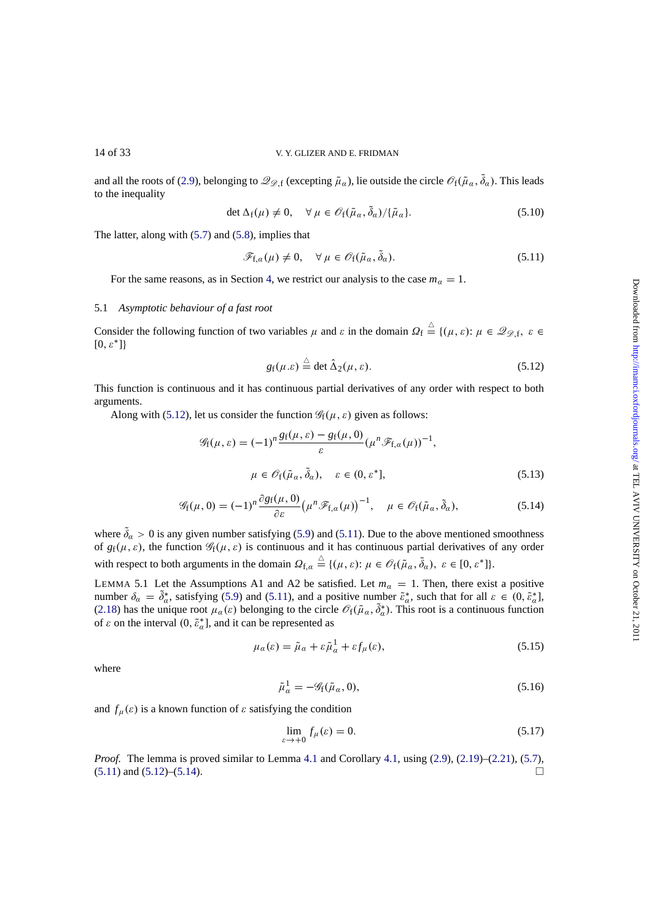<span id="page-13-0"></span>and all the roots of (2.9), belonging to  $\mathscr{Q}_{\mathscr{D},f}$  (excepting  $\tilde{\mu}_\alpha$ ), lie outside the circle  $\mathscr{O}_f(\tilde{\mu}_\alpha, \delta_\alpha)$ . This leads to the inequality

$$
\det \Delta_f(\mu) \neq 0, \quad \forall \ \mu \in \mathscr{O}_f(\tilde{\mu}_\alpha, \delta_\alpha) / {\{\tilde{\mu}_\alpha\}}.
$$
\n(5.10)

The latter, along wi[th \(5](#page-4-0).7) and (5.8), implies that

$$
\mathscr{F}_{f,\alpha}(\mu) \neq 0, \quad \forall \mu \in \mathscr{O}_f(\tilde{\mu}_\alpha, \delta_\alpha). \tag{5.11}
$$

For the same reasons, as in Section 4, we restrict our analysis to the case  $m_\alpha = 1$ .

# 5.1 *Asymptotic behaviour of a fast root*

Consider the following function of two [v](#page-9-0)ariables  $\mu$  and  $\varepsilon$  in the domain  $\Omega_f \stackrel{\triangle}{=} \{(\mu, \varepsilon) : \mu \in \mathcal{Q}_{\mathcal{D},f}, \varepsilon \in$  $[0, \varepsilon^*]$ 

$$
g_{\rm f}(\mu.\varepsilon) \stackrel{\triangle}{=} \det \hat{\Delta}_2(\mu,\varepsilon). \tag{5.12}
$$

This function is continuous and it has continuous partial derivatives of any order with respect to both arguments.

Along with (5.12), let us consider the function  $\mathcal{G}_f(\mu, \varepsilon)$  given as follows:

$$
\mathcal{G}_{\mathbf{f}}(\mu,\varepsilon) = (-1)^n \frac{g_{\mathbf{f}}(\mu,\varepsilon) - g_{\mathbf{f}}(\mu,0)}{\varepsilon} (\mu^n \mathcal{F}_{\mathbf{f},\alpha}(\mu))^{-1},
$$
  

$$
\mu \in \mathcal{O}_{\mathbf{f}}(\tilde{\mu}_\alpha, \tilde{\delta}_\alpha), \quad \varepsilon \in (0,\varepsilon^*],
$$
 (5.13)

$$
\mathscr{G}_{f}(\mu,0) = (-1)^{n} \frac{\partial g_{f}(\mu,0)}{\partial \varepsilon} \left(\mu^{n} \mathscr{F}_{f,a}(\mu)\right)^{-1}, \quad \mu \in \mathscr{O}_{f}(\tilde{\mu}_{\alpha},\tilde{\delta}_{\alpha}), \tag{5.14}
$$

where  $\delta_{\alpha} > 0$  is any given number satisfying (5.9) and (5.11). Due to the above mentioned smoothness of  $g_f(\mu, \varepsilon)$ , the function  $\mathscr{G}_f(\mu, \varepsilon)$  is continuous and it has continuous partial derivatives of any order with respect to both arguments in the domain  $\Omega_{f,\alpha} \triangleq \{(\mu, \varepsilon): \mu \in \mathcal{O}_f(\tilde{\mu}_\alpha, \tilde{\delta}_\alpha), \varepsilon \in [0, \varepsilon^*]\}.$ 

LEMMA 5.1 Let the Assumptions A1 and A[2 be](#page-12-0) satisfied. Let  $m_\alpha = 1$ . Then, there exist a positive number  $\delta_{\alpha} = \delta_{\alpha}^*$ , satisfying (5.9) and (5.11), and a positive number  $\tilde{\epsilon}_{\alpha}^*$ , such that for all  $\varepsilon \in (0, \tilde{\epsilon}_{\alpha}^*]$ , (2.18) has the unique root  $\mu_a(\varepsilon)$  belonging to the circle  $\mathcal{O}_f(\tilde{\mu}_a, \delta^*_a)$ . This root is a continuous function of  $\varepsilon$  on the interval  $(0, \tilde{\varepsilon}_\alpha^*]$ , and it can be represented as

$$
\mu_a(\varepsilon) = \tilde{\mu}_a + \varepsilon \tilde{\mu}_a^1 + \varepsilon f_\mu(\varepsilon),\tag{5.15}
$$

[where](#page-5-0)

$$
\tilde{\mu}_a^1 = -\mathscr{G}_f(\tilde{\mu}_a, 0),\tag{5.16}
$$

and  $f_{\mu}(\varepsilon)$  is a known function of  $\varepsilon$  satisfying the condition

$$
\lim_{\varepsilon \to +0} f_{\mu}(\varepsilon) = 0. \tag{5.17}
$$

*Proof.* The lemma is proved similar to Lemma 4.1 and Corollary 4.1, using (2.9), (2.19)–(2.21), (5.7),  $(5.11)$  and  $(5.12)$ – $(5.14)$ .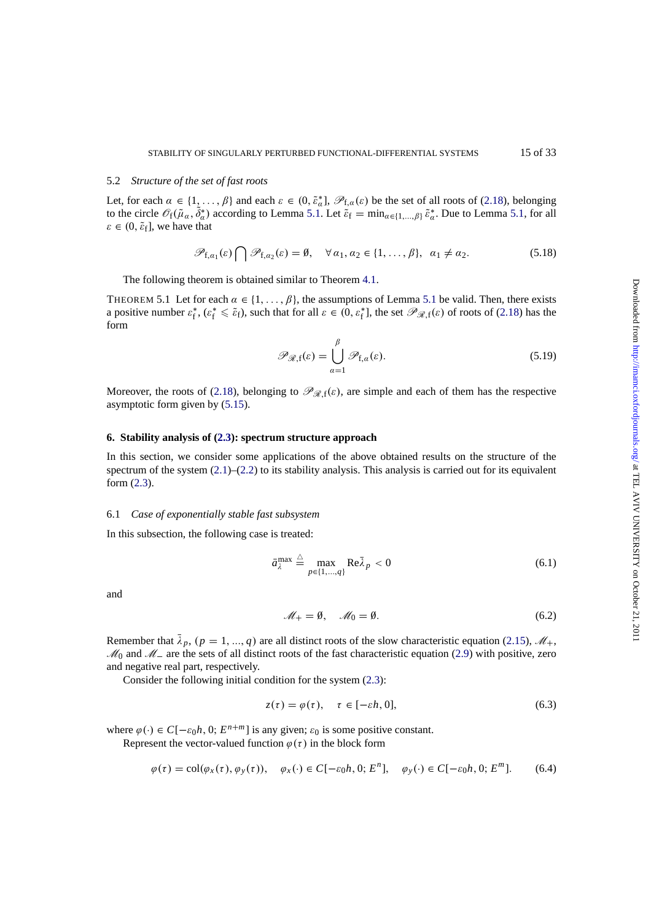#### <span id="page-14-0"></span>5.2 *Structure of the set of fast roots*

Let, for each  $\alpha \in \{1, ..., \beta\}$  and each  $\varepsilon \in (0, \tilde{\varepsilon}_\alpha^*]$ ,  $\mathscr{P}_{f,\alpha}(\varepsilon)$  be the set of all roots of (2.18), belonging to the circle  $\mathcal{O}_f(\tilde{\mu}_\alpha, \delta^*_\alpha)$  according to Lemma 5.1. Let  $\tilde{\varepsilon}_f = \min_{\alpha \in \{1, ..., \beta\}} \tilde{\varepsilon}^*_\alpha$ . Due to Lemma 5.1, for all  $\varepsilon \in (0, \tilde{\varepsilon}_{\rm f}],$  we have that

$$
\mathscr{P}_{f,\alpha_1}(\varepsilon)\bigcap \mathscr{P}_{f,\alpha_2}(\varepsilon)=\emptyset, \quad \forall \alpha_1,\alpha_2\in\{1,\ldots,\beta\}, \ \alpha_1\neq\alpha_2. \tag{5.18}
$$

The following theorem is obtained similar to Theorem 4.1.

THEOREM 5.1 Let for each  $\alpha \in \{1, \ldots, \beta\}$ , the assumptions of Lemma 5.1 be valid. Then, there exists a positive number  $\varepsilon_f^*$ ,  $(\varepsilon_f^* \leq \tilde{\varepsilon}_f)$ , such that for all  $\varepsilon \in (0, \varepsilon_f^*]$ , the set  $\mathscr{P}_{\mathscr{R},f}(\varepsilon)$  of roots of (2.18) has the form

$$
\mathscr{P}_{\mathscr{R},f}(\varepsilon) = \bigcup_{\alpha=1}^{\beta} \mathscr{P}_{f,\alpha}(\varepsilon). \tag{5.19}
$$

Moreover, the roots of (2.18), belonging to  $\mathcal{P}_{\mathcal{R},f}(\varepsilon)$ , are simple and each of them has the respective asymptotic form given by (5.15).

#### **6. Stability analysis of [\(2.3\)](#page-5-0): spectrum structure approach**

In this section, we consid[er so](#page-13-0)me applications of the above obtained results on the structure of the spectrum of the system  $(2.1)$ – $(2.2)$  to its stability analysis. This analysis is carried out for its equivalent form (2.3).

# 6.1 *Case of exponentially stable fast subsystem*

In this [sub](#page-3-0)section, the following case is treated:

$$
\bar{a}_{\lambda}^{\max} \stackrel{\triangle}{=} \max_{p \in \{1, \dots, q\}} \text{Re}\bar{\lambda}_p < 0 \tag{6.1}
$$

and

$$
\mathcal{M}_+ = \emptyset, \quad \mathcal{M}_0 = \emptyset. \tag{6.2}
$$

Remember that  $\lambda_p$ ,  $(p = 1, ..., q)$  are all distinct roots of the slow characteristic equation (2.15),  $\mathcal{M}_+$ ,  $M_0$  and  $M_-\$  are the sets of all distinct roots of the fast characteristic equation (2.9) with positive, zero and negative real part, respectively.

Consider the following initial condition for the system (2.3):

$$
z(\tau) = \varphi(\tau), \quad \tau \in [-\varepsilon h, 0], \tag{6.3}
$$

where  $\varphi(\cdot) \in C[-\varepsilon_0 h, 0; E^{n+m}]$  is any given;  $\varepsilon_0$  is some p[ositi](#page-3-0)ve constant.

Represent the vector-valued function  $\varphi(\tau)$  in the block form

$$
\varphi(\tau) = \text{col}(\varphi_x(\tau), \varphi_y(\tau)), \quad \varphi_x(\cdot) \in C[-\varepsilon_0 h, 0; E^n], \quad \varphi_y(\cdot) \in C[-\varepsilon_0 h, 0; E^m]. \tag{6.4}
$$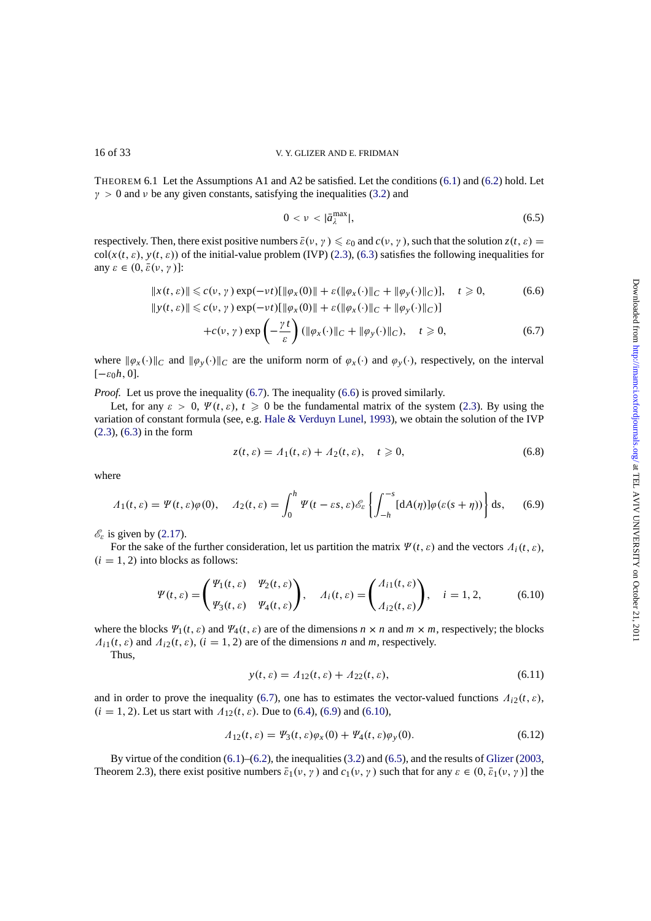THEOREM 6.1 Let the Assumptions A1 and A2 be satisfied. Let the conditions (6.1) and (6.2) hold. Let  $\gamma > 0$  and v be any given constants, satisfying the inequalities (3.2) and

$$
0 < \nu < |\bar{a}_{\lambda}^{\max}|,\tag{6.5}
$$

respectively. Then, [th](#page-14-0)ere exist positive numbers  $\bar{\varepsilon}(v, \gamma) \leq \varepsilon_0$  and  $c(v, \gamma)$ , such th[at](#page-14-0) the sol[ution](#page-14-0)  $z(t, \varepsilon) =$  $col(x(t, \varepsilon), y(t, \varepsilon))$  of the initial-value problem (IVP) (2.[3\)](#page-7-0), (6.3) [sa](#page-7-0)tisfies the following inequalities for any  $\varepsilon \in (0, \bar{\varepsilon}(\nu, \gamma))$ :

$$
||x(t, \varepsilon)|| \le c(\nu, \gamma) \exp(-\nu t)[||\varphi_x(0)|| + \varepsilon(||\varphi_x(\cdot)||_C + ||\varphi_y(\cdot)||_C)], \quad t \ge 0,
$$
\n
$$
||y(t, \varepsilon)|| \le c(\nu, \gamma) \exp(-\nu t)[||\varphi_x(0)|| + \varepsilon(||\varphi_x(\cdot)||_C + ||\varphi_y(\cdot)||_C)]
$$
\n(6.6)

$$
+c(\nu,\gamma)\exp\left(-\frac{\gamma t}{\varepsilon}\right)(\|\varphi_x(\cdot)\|_C+\|\varphi_y(\cdot)\|_C), \quad t\geqslant 0,
$$
\n(6.7)

where  $\|\varphi_x(\cdot)\|_C$  and  $\|\varphi_y(\cdot)\|_C$  are the uniform norm of  $\varphi_x(\cdot)$  and  $\varphi_y(\cdot)$ , respectively, on the interval  $[-\varepsilon_0 h, 0].$ 

*Proof.* Let us prove the inequality (6.7). The inequality (6.6) is proved similarly.

Let, for any  $\varepsilon > 0$ ,  $\Psi(t, \varepsilon)$ ,  $t \ge 0$  be the fundamental matrix of the system (2.3). By using the variation of constant formula (see, e.g. Hale & Verduyn Lunel, 1993), we obtain the solution of the IVP (2.3), (6.3) in the form

$$
z(t,\varepsilon) = \Lambda_1(t,\varepsilon) + \Lambda_2(t,\varepsilon), \quad t \ge 0,
$$
\n(6.8)

where

$$
\Lambda_1(t,\varepsilon) = \Psi(t,\varepsilon)\varphi(0), \quad \Lambda_2(t,\varepsilon) = \int_0^h \Psi(t-\varepsilon s,\varepsilon) \mathscr{E}_\varepsilon \left\{ \int_{-h}^{-s} [dA(\eta)] \varphi(\varepsilon(s+\eta)) \right\} ds, \quad (6.9)
$$

 $\mathscr{E}_{\varepsilon}$  is given by (2.17).

For the sake of the further consideration, let us partition the matrix  $\Psi(t, \varepsilon)$  and the vectors  $\Lambda_i(t, \varepsilon)$ ,  $(i = 1, 2)$  into blocks as follows:

$$
\Psi(t,\varepsilon) = \begin{pmatrix} \Psi_1(t,\varepsilon) & \Psi_2(t,\varepsilon) \\ \Psi_3(t,\varepsilon) & \Psi_4(t,\varepsilon) \end{pmatrix}, \quad A_i(t,\varepsilon) = \begin{pmatrix} A_{i1}(t,\varepsilon) \\ A_{i2}(t,\varepsilon) \end{pmatrix}, \quad i = 1,2, \quad (6.10)
$$

where the blocks  $\Psi_1(t, \varepsilon)$  and  $\Psi_4(t, \varepsilon)$  are of the dimensions  $n \times n$  and  $m \times m$ , respectively; the blocks  $\Lambda_{i1}(t, \varepsilon)$  and  $\Lambda_{i2}(t, \varepsilon)$ ,  $(i = 1, 2)$  are of the dimensions *n* and *m*, respectively.

Thus,

$$
y(t,\varepsilon) = \Lambda_{12}(t,\varepsilon) + \Lambda_{22}(t,\varepsilon),\tag{6.11}
$$

and in order to prove the inequality (6.7), one has to estimates the vector-valued functions  $\Lambda_{i2}(t, \varepsilon)$ ,  $(i = 1, 2)$ . Let us start with  $\Lambda_{12}(t, \varepsilon)$ . Due to (6.4), (6.9) and (6.10),

$$
\Lambda_{12}(t,\varepsilon) = \Psi_3(t,\varepsilon)\varphi_x(0) + \Psi_4(t,\varepsilon)\varphi_y(0). \tag{6.12}
$$

By virtue of the condition  $(6.1)$ – $(6.2)$ , the i[nequ](#page-14-0)alities  $(3.2)$  and  $(6.5)$ , and the results of Glizer  $(2003,$ Theorem 2.3), there exist positive numbers  $\bar{\varepsilon}_1(\nu, \gamma)$  and  $c_1(\nu, \gamma)$  such that for any  $\varepsilon \in (0, \bar{\varepsilon}_1(\nu, \gamma))$  the

<span id="page-15-0"></span>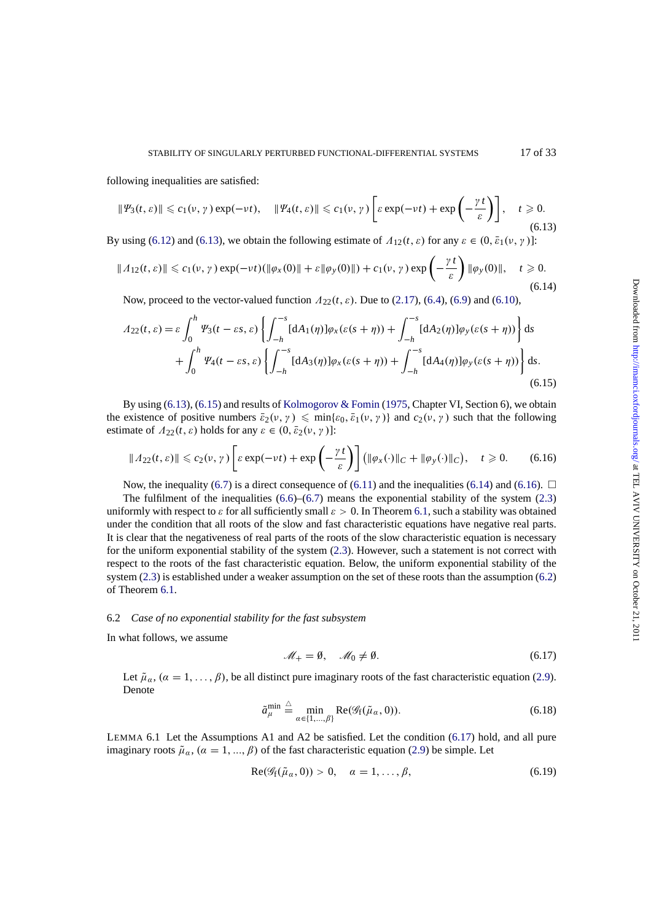<span id="page-16-0"></span>following inequalities are satisfied:

$$
\|\Psi_3(t,\varepsilon)\| \leqslant c_1(\nu,\gamma) \exp(-\nu t), \quad \|\Psi_4(t,\varepsilon)\| \leqslant c_1(\nu,\gamma) \left[\varepsilon \exp(-\nu t) + \exp\left(-\frac{\gamma t}{\varepsilon}\right)\right], \quad t \geqslant 0.
$$
\n(6.13)

By using (6.12) and (6.13), we obtain the following estimate of  $\Lambda_{12}(t, \varepsilon)$  for any  $\varepsilon \in (0, \bar{\varepsilon}_1(\nu, \gamma))$ :

$$
\|A_{12}(t,\varepsilon)\| \leqslant c_1(\nu,\gamma) \exp(-\nu t)(\|\varphi_x(0)\| + \varepsilon \|\varphi_y(0)\|) + c_1(\nu,\gamma) \exp\left(-\frac{\gamma t}{\varepsilon}\right) \|\varphi_y(0)\|, \quad t \geqslant 0.
$$
\n
$$
(6.14)
$$

Now, [proce](#page-15-0)ed to the vector-valued function Λ22(*t*, ε). Due to (2.17), (6.4), (6.9) and (6.10),

$$
A_{22}(t,\varepsilon) = \varepsilon \int_0^h \Psi_3(t - \varepsilon s, \varepsilon) \left\{ \int_{-h}^{-s} [dA_1(\eta)] \varphi_x(\varepsilon(s+\eta)) + \int_{-h}^{-s} [dA_2(\eta)] \varphi_y(\varepsilon(s+\eta)) \right\} ds + \int_0^h \Psi_4(t - \varepsilon s, \varepsilon) \left\{ \int_{-h}^{-s} [dA_3(\eta)] \varphi_x(\varepsilon(s+\eta)) + \int_{-h}^{-s} [dA_4(\eta)] \varphi_y(\varepsilon(s+\eta)) \right\} ds.
$$
(6.15)

By using (6.13), (6.15) and results of Kolmogorov & Fomin (1975, Chapter VI, Section 6), we obtain the existence of positive numbers  $\bar{\varepsilon}_2(\nu, \gamma) \leq \min{\varepsilon_0, \bar{\varepsilon}_1(\nu, \gamma)}$  and  $c_2(\nu, \gamma)$  such that the following estimate of  $\Lambda_{22}(t, \varepsilon)$  holds for any  $\varepsilon \in (0, \bar{\varepsilon}_2(\nu, \gamma))$ :

$$
\|A_{22}(t,\varepsilon)\| \leq c_2(\nu,\gamma)\left[\varepsilon\exp(-\nu t) + \exp\left(-\frac{\gamma t}{\varepsilon}\right)\right] \left(\|\varphi_x(\cdot)\|_C + \|\varphi_y(\cdot)\|_C\right), \quad t \geq 0. \tag{6.16}
$$

Now, the inequality (6.7) is a direct consequence of (6.11) and the inequalities (6.14) and (6.16).  $\Box$ 

The fulfilment of the inequalities  $(6.6)$ – $(6.7)$  means the exponential stability of the system  $(2.3)$ uniformly with respect to  $\varepsilon$  for all sufficiently small  $\varepsilon > 0$ . In Theorem 6.1, such a stability was obtained under the condition that all roots of the slow and fast characteristic equations have negative real parts. It is clear that the negati[vene](#page-15-0)ss of real parts of the roots [of the](#page-15-0) slow characteristic equation is necessary for the uniform exponential stability of [the](#page-15-0) s[ystem](#page-15-0) (2.3). However, such a statement is not correct [with](#page-3-0) respect to the roots of the fast characteristic equation. Below, the uni[form](#page-14-0) exponential stability of the system (2.3) is established under a weaker assumption on the set of these roots than the assumption (6.2) of Theorem 6.1.

#### 6.2 *Case of no exponential stability for the fast subsystem*

In what [foll](#page-3-0)[ows](#page-14-0), we assume

$$
\mathcal{M}_+ = \emptyset, \quad \mathcal{M}_0 \neq \emptyset. \tag{6.17}
$$

Let  $\tilde{\mu}_\alpha$ ,  $(\alpha = 1, ..., \beta)$ , be all distinct pure imaginary roots of the fast characteristic equation (2.9). Denote

$$
\tilde{a}_{\mu}^{\min} \stackrel{\triangle}{=} \min_{\alpha \in \{1, \dots, \beta\}} \text{Re}(\mathscr{G}_{f}(\tilde{\mu}_{\alpha}, 0)). \tag{6.18}
$$

LEMMA 6.1 Let the Assumptions A1 and A2 be satisfied. Let the condition (6.17) hold, and all [pur](#page-4-0)e imaginary roots  $\tilde{\mu}_{\alpha}$ ,  $(\alpha = 1, ..., \beta)$  of the fast characteristic equation (2.9) be simple. Let

$$
Re(\mathscr{G}_{f}(\tilde{\mu}_{\alpha},0))>0, \quad \alpha=1,\ldots,\beta,
$$
\n(6.19)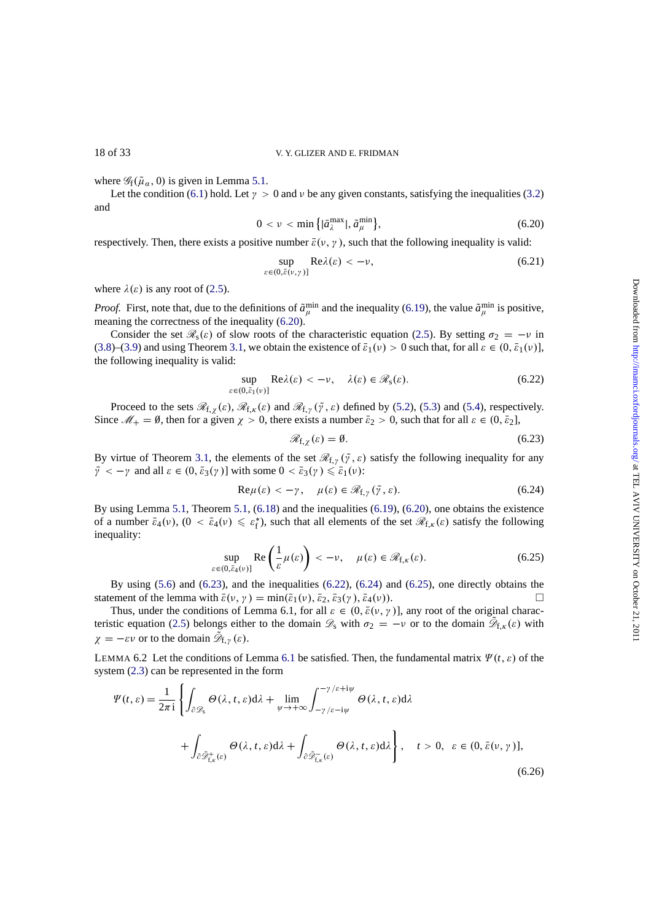<span id="page-17-0"></span>

where  $\mathscr{G}_f(\tilde{\mu}_{\alpha}, 0)$  is given in Lemma 5.1.

Let the condition (6.1) hold. Let  $\gamma > 0$  and  $\nu$  be any given constants, satisfying the inequalities (3.2) and

$$
0 < \nu < \min\left\{ |\bar{a}_{\lambda}^{\max}|, \tilde{a}_{\mu}^{\min} \right\},\tag{6.20}
$$

respectively. Then, th[ere](#page-14-0) exists a po[sitiv](#page-13-0)e number  $\bar{\varepsilon}(v, y)$ , such that the following inequality is vali[d:](#page-7-0)

$$
\sup_{\varepsilon \in (0,\bar{\varepsilon}(v,\gamma)]} \text{Re}\lambda(\varepsilon) < -\nu,\tag{6.21}
$$

where  $\lambda(\varepsilon)$  is any root of (2.5).

*Proof.* First, note that, due to the definitions of  $\tilde{a}^{min}_{\mu}$  and the inequality (6.19), the value  $\tilde{a}^{min}_{\mu}$  is positive, meaning the correctness of the inequality (6.20).

Consider the set  $\mathscr{R}_s(\varepsilon)$  of slow roots of the characteristic equation (2.5). By setting  $\sigma_2 = -\nu$  in (3.8)–(3.9) and using The[orem](#page-3-0) 3.1, we obtain the existence of  $\bar{\varepsilon}_1(\nu) > 0$  such that, for all  $\varepsilon \in (0, \bar{\varepsilon}_1(\nu))$ , the following inequality is valid:

$$
\sup_{\varepsilon \in (0,\bar{\varepsilon}_1(v)]} \text{Re}\lambda(\varepsilon) < -\nu, \quad \lambda(\varepsilon) \in \mathcal{R}_s(\varepsilon). \tag{6.22}
$$

[P](#page-8-0)r[ocee](#page-8-0)d to the sets  $\mathcal{R}_{f,\chi}(\varepsilon)$  $\mathcal{R}_{f,\chi}(\varepsilon)$  $\mathcal{R}_{f,\chi}(\varepsilon)$ ,  $\mathcal{R}_{f,\chi}(\varepsilon)$  and  $\mathcal{R}_{f,\gamma}(\tilde{\gamma},\varepsilon)$  defined by (5.2), (5.3) and (5.4), respectively. Since  $\mathcal{M}_+ = \emptyset$ , then for a given  $\chi > 0$ , there exists a number  $\bar{\varepsilon}_2 > 0$ , such that for all  $\varepsilon \in (0, \bar{\varepsilon}_2]$ ,

$$
\mathcal{R}_{f,\chi}(\varepsilon) = \emptyset. \tag{6.23}
$$

By virtue of Theorem 3.1, the elements of the set  $\mathcal{R}_{f,\gamma}(\tilde{\gamma}, \varepsilon)$  satisf[y th](#page-12-0)e f[ollo](#page-12-0)wing [ineq](#page-12-0)uality for any  $\tilde{\gamma} < -\gamma$  and all  $\varepsilon \in (0, \bar{\varepsilon}_3(\gamma))$  with some  $0 < \bar{\varepsilon}_3(\gamma) \leq \bar{\varepsilon}_1(\nu)$ :

$$
\text{Re}\,\mu(\varepsilon) < -\gamma \,, \quad \mu(\varepsilon) \in \mathcal{R}_{f,\gamma}(\tilde{\gamma}, \varepsilon). \tag{6.24}
$$

By using Lemma 5.1, [Theo](#page-8-0)rem 5.1, (6.18) and the inequalities (6.19), (6.20), one obtains the existence of a number  $\bar{\varepsilon}_4(\nu)$ ,  $(0 < \bar{\varepsilon}_4(\nu) \leq \varepsilon_f^*$ , such that all elements of the set  $\mathcal{R}_{f,\kappa}(\varepsilon)$  satisfy the following inequality:

$$
\sup_{\varepsilon \in (0,\bar{\varepsilon}_4(\nu)]} \operatorname{Re} \left( \frac{1}{\varepsilon} \mu(\varepsilon) \right) < -\nu, \quad \mu(\varepsilon) \in \mathcal{R}_{f,\kappa}(\varepsilon). \tag{6.25}
$$

By using  $(5.6)$  and  $(6.23)$ , and the inequalities  $(6.22)$ ,  $(6.24)$  and  $(6.25)$ , one directly obtains the statement of the lemma with  $\bar{\varepsilon}(v, \gamma) = \min(\bar{\varepsilon}_1(v), \bar{\varepsilon}_2, \bar{\varepsilon}_3(\gamma), \bar{\varepsilon}_4(v)).$ 

Thus, under the conditions of Lemma 6.1, for all  $\varepsilon \in (0, \bar{\varepsilon}(v, \gamma))$ , any root of the original characteristic equation (2.5) belongs either to the domain  $\mathscr{D}_s$  with  $\sigma_2 = -\nu$  or to the domain  $\mathscr{D}_{f,\kappa}(\varepsilon)$  with  $\chi = -\varepsilon \nu$  or t[o the](#page-12-0) domain  $\mathscr{D}_{f,\gamma}(\varepsilon)$ .

LEMMA 6.2 Let the conditions of Lemma 6.1 be satisfied. Then, the fundamental matrix  $\Psi(t, \varepsilon)$  of the system (2.3) can [be](#page-3-0) [re](#page-3-0)presented in the form

$$
\Psi(t,\varepsilon) = \frac{1}{2\pi i} \left\{ \int_{\partial \mathcal{D}_{s}} \Theta(\lambda, t, \varepsilon) d\lambda + \lim_{\psi \to +\infty} \int_{-\gamma/\varepsilon - i\psi}^{-\gamma/\varepsilon + i\psi} \Theta(\lambda, t, \varepsilon) d\lambda + \int_{\partial \tilde{\mathcal{D}}_{t,\kappa}^{+}(\varepsilon)} \Theta(\lambda, t, \varepsilon) d\lambda + \int_{\partial \tilde{\mathcal{D}}_{t,\kappa}^{-}(\varepsilon)} \Theta(\lambda, t, \varepsilon) d\lambda \right\}, \quad t > 0, \quad \varepsilon \in (0, \bar{\varepsilon}(\nu, \gamma)],
$$
\n(6.26)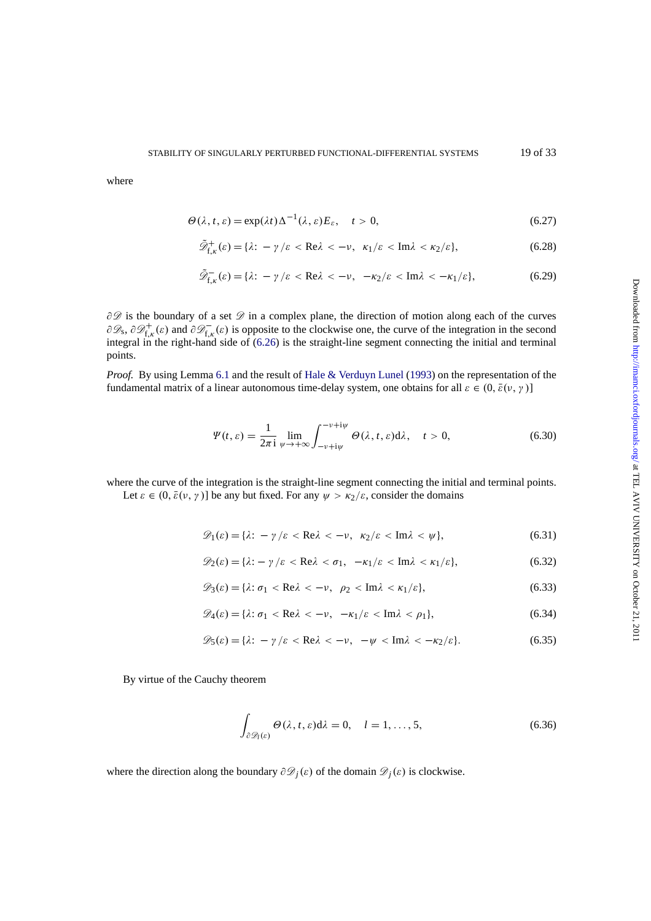<span id="page-18-0"></span>where

$$
\Theta(\lambda, t, \varepsilon) = \exp(\lambda t) \Delta^{-1}(\lambda, \varepsilon) E_{\varepsilon}, \quad t > 0,
$$
\n(6.27)

$$
\tilde{\mathscr{D}}_{f,\kappa}^{+}(\varepsilon) = \{\lambda: -\gamma/\varepsilon < \text{Re}\lambda < -\nu, \ \kappa_1/\varepsilon < \text{Im}\lambda < \kappa_2/\varepsilon\},\tag{6.28}
$$

$$
\tilde{\mathscr{D}}_{f,\kappa}^{-}(\varepsilon) = \{\lambda: -\gamma/\varepsilon < \text{Re}\lambda < -\nu, -\kappa_2/\varepsilon < \text{Im}\lambda < -\kappa_1/\varepsilon\},\tag{6.29}
$$

∂ $\mathscr D$  is the boundary of a set  $\mathscr D$  in a complex plane, the direction of motion along each of the curves  $\partial\mathscr{D}_s$ ,  $\partial\mathscr{D}^+_{f,k}(\varepsilon)$  and  $\partial\mathscr{D}^-_{f,k}(\varepsilon)$  is opposite to the clockwise one, the curve of the integration in the second integral in the right-hand side of (6.26) is the straight-line segment connecting the initial and terminal points.

*Proof.* By using Lemma 6.1 and the result of Hale & Verduyn Lunel (1993) on the representation of the fundamental matrix of a linear aut[onom](#page-17-0)ous time-delay system, one obtains for all  $\varepsilon \in (0, \bar{\varepsilon}(v, \gamma))$ 

$$
\Psi(t,\varepsilon) = \frac{1}{2\pi i} \lim_{\psi \to +\infty} \int_{-\nu + i\psi}^{-\nu + i\psi} \Theta(\lambda, t, \varepsilon) d\lambda, \quad t > 0,
$$
\n(6.30)

where the curve of the integration is the straight-line segment connecting the initial and terminal points.

Let  $\varepsilon \in (0, \bar{\varepsilon}(v, \gamma))$  be any but fixed. For any  $\psi > \kappa_2/\varepsilon$ , consider the domains

$$
\mathscr{D}_1(\varepsilon) = \{\lambda: -\gamma/\varepsilon < \text{Re}\lambda < -\nu, \ \kappa_2/\varepsilon < \text{Im}\lambda < \psi\},\tag{6.31}
$$

$$
\mathscr{D}_2(\varepsilon) = \{ \lambda: -\gamma/\varepsilon < \text{Re}\lambda < \sigma_1, \ -\kappa_1/\varepsilon < \text{Im}\lambda < \kappa_1/\varepsilon \},\tag{6.32}
$$

$$
\mathscr{D}_3(\varepsilon) = \{\lambda : \sigma_1 < \text{Re}\lambda < -\nu, \ \rho_2 < \text{Im}\lambda < \kappa_1/\varepsilon\},\tag{6.33}
$$

$$
\mathscr{D}_4(\varepsilon) = \{\lambda : \sigma_1 < \text{Re}\lambda < -\nu, \ -\kappa_1/\varepsilon < \text{Im}\lambda < \rho_1\},\tag{6.34}
$$

$$
\mathscr{D}_5(\varepsilon) = \{\lambda: -\gamma/\varepsilon < \text{Re}\lambda < -\nu, -\psi < \text{Im}\lambda < -\kappa_2/\varepsilon\}.\tag{6.35}
$$

By virtue of the Cauchy theorem

$$
\int_{\partial \mathcal{D}_l(\varepsilon)} \Theta(\lambda, t, \varepsilon) d\lambda = 0, \quad l = 1, ..., 5,
$$
\n(6.36)

where the direction along the boundary  $\partial \mathcal{D}_j(\varepsilon)$  of the domain  $\mathcal{D}_j(\varepsilon)$  is clockwise.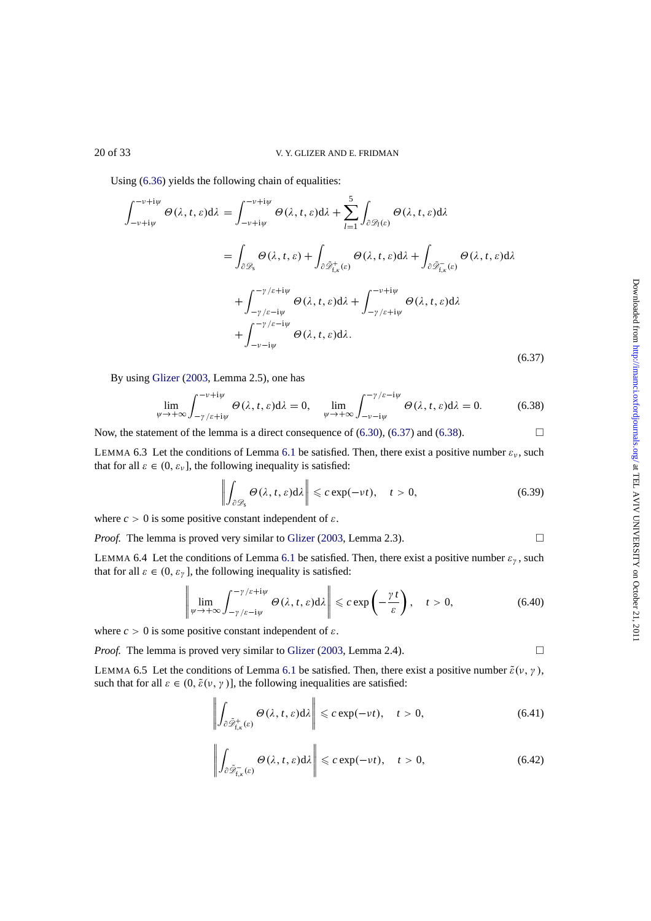<span id="page-19-0"></span>Using (6.36) yields the following chain of equalities:

$$
\int_{-v+i\psi}^{-v+i\psi} \Theta(\lambda, t, \varepsilon) d\lambda = \int_{-v+i\psi}^{-v+i\psi} \Theta(\lambda, t, \varepsilon) d\lambda + \sum_{l=1}^{5} \int_{\partial \mathcal{D}_{l}(\varepsilon)} \Theta(\lambda, t, \varepsilon) d\lambda
$$

$$
= \int_{\partial \mathcal{D}_{s}} \Theta(\lambda, t, \varepsilon) + \int_{\partial \tilde{\mathcal{D}}_{t,\kappa}^{+}(\varepsilon)} \Theta(\lambda, t, \varepsilon) d\lambda + \int_{\partial \tilde{\mathcal{D}}_{t,\kappa}^{-}(\varepsilon)} \Theta(\lambda, t, \varepsilon) d\lambda
$$

$$
+ \int_{-\gamma/\varepsilon - i\psi}^{-\gamma/\varepsilon + i\psi} \Theta(\lambda, t, \varepsilon) d\lambda + \int_{-\gamma/\varepsilon + i\psi}^{-\gamma + i\psi} \Theta(\lambda, t, \varepsilon) d\lambda
$$

$$
+ \int_{-\nu - i\psi}^{-\gamma/\varepsilon - i\psi} \Theta(\lambda, t, \varepsilon) d\lambda.
$$
(6.37)

By using Glizer (2003, Lemma 2.5), one has

$$
\lim_{\psi \to +\infty} \int_{-\gamma/\varepsilon + i\psi}^{-\nu + i\psi} \Theta(\lambda, t, \varepsilon) d\lambda = 0, \quad \lim_{\psi \to +\infty} \int_{-\nu - i\psi}^{-\gamma/\varepsilon - i\psi} \Theta(\lambda, t, \varepsilon) d\lambda = 0.
$$
 (6.38)

Now, the stat[ement](#page-31-0) o[f the](#page-31-0) lemma is a direct consequence of  $(6.30)$ ,  $(6.37)$  and  $(6.38)$ .

LEMMA 6.3 Let the conditions of Lemma 6.1 be satisfied. Then, there exist a positive number  $\varepsilon_v$ , such that for all  $\varepsilon \in (0, \varepsilon_{\nu}]$ , the following inequality is satisfied:

$$
\left\| \int_{\partial \mathcal{D}_s} \Theta(\lambda, t, \varepsilon) d\lambda \right\| \leqslant c \exp(-\nu t), \quad t > 0,
$$
\n(6.39)

where  $c > 0$  is some positive constant independent of  $\varepsilon$ .

*Proof.* The lemma is proved very similar to Glizer (2003, Lemma 2.3). □

LEMMA 6.4 Let the conditions of Lemma 6.1 be satisfied. Then, there exist a positive number  $\varepsilon_y$ , such that for all  $\varepsilon \in (0, \varepsilon_{\gamma})$ , the following inequality is satisfied:

$$
\left\|\lim_{\psi\to+\infty}\int_{-\gamma/\varepsilon-i\psi}^{-\gamma/\varepsilon+i\psi}\Theta(\lambda,t,\varepsilon)d\lambda\right\|\leqslant c\exp\left(-\frac{\gamma t}{\varepsilon}\right),\quad t>0,
$$
\n(6.40)

where  $c > 0$  is some positive constant independent of  $\varepsilon$ .

*Proof.* The lemma is proved very similar to Glizer (2003, Lemma 2.4). □

LEMMA 6.5 Let the conditions of Lemma 6.1 be satisfied. Then, there exist a positive number  $\tilde{\varepsilon}(v, \gamma)$ , such that for all  $\varepsilon \in (0, \tilde{\varepsilon}(\nu, \gamma))$ , the following inequalities are satisfied:

$$
\left\| \int_{\partial \tilde{\mathscr{D}}_{f,\kappa}^+(s)} \Theta(\lambda, t, \varepsilon) d\lambda \right\| \leqslant c \exp(-\nu t), \quad t > 0,
$$
\n(6.41)

$$
\left\| \int_{\partial \tilde{\mathscr{D}}_{f,\kappa}^{-}(\varepsilon)} \Theta(\lambda, t, \varepsilon) d\lambda \right\| \leqslant c \exp(-\nu t), \quad t > 0,
$$
\n(6.42)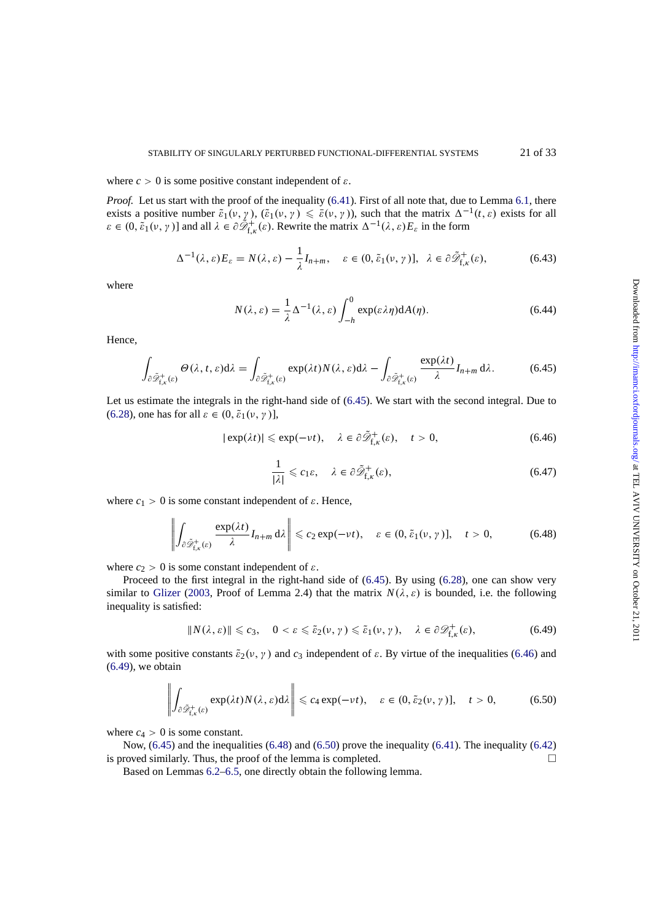<span id="page-20-0"></span>where  $c > 0$  is some positive constant independent of  $\varepsilon$ .

*Proof.* Let us start with the proof of the inequality (6.41). First of all note that, due to Lemma 6.1, there exists a positive number  $\tilde{\varepsilon}_1(v, y)$ ,  $(\tilde{\varepsilon}_1(v, y) \leq \tilde{\varepsilon}(v, y))$ , such that the matrix  $\Delta^{-1}(t, \varepsilon)$  exists for all  $\varepsilon \in (0, \tilde{\varepsilon}_1(\nu, \gamma))$  and all  $\lambda \in \partial \tilde{\mathcal{D}}_{f,k}^+(\varepsilon)$ . Rewrite the matrix  $\Delta^{-1}(\lambda, \varepsilon) E_{\varepsilon}$  in the form

$$
\Delta^{-1}(\lambda, \varepsilon) E_{\varepsilon} = N(\lambda, \varepsilon) - \frac{1}{\lambda} I_{n+m}, \quad \varepsilon \in (0, \tilde{\varepsilon}_1(\nu, \gamma)], \quad \lambda \in \partial \tilde{\mathscr{D}}_{f, \kappa}^+(\varepsilon), \tag{6.43}
$$

where

$$
N(\lambda, \varepsilon) = \frac{1}{\lambda} \Delta^{-1}(\lambda, \varepsilon) \int_{-h}^{0} \exp(\varepsilon \lambda \eta) dA(\eta).
$$
 (6.44)

Hence,

$$
\int_{\partial \tilde{\mathscr{D}}_{t,\kappa}^{+}(\varepsilon)} \Theta(\lambda,t,\varepsilon) d\lambda = \int_{\partial \tilde{\mathscr{D}}_{t,\kappa}^{+}(\varepsilon)} \exp(\lambda t) N(\lambda,\varepsilon) d\lambda - \int_{\partial \tilde{\mathscr{D}}_{t,\kappa}^{+}(\varepsilon)} \frac{\exp(\lambda t)}{\lambda} I_{n+m} d\lambda.
$$
 (6.45)

Let us estimate the integrals in the right-hand side of (6.45). We start with the second integral. Due to (6.28), one has for all  $\varepsilon \in (0, \tilde{\varepsilon}_1(\nu, \gamma))$ ,

$$
|\exp(\lambda t)| \le \exp(-\nu t), \quad \lambda \in \partial \tilde{\mathcal{D}}_{f,\kappa}^+( \varepsilon), \quad t > 0,
$$
\n(6.46)

$$
\frac{1}{|\lambda|} \leq c_1 \varepsilon, \quad \lambda \in \partial \tilde{\mathscr{D}}_{f,\kappa}^+(\varepsilon), \tag{6.47}
$$

where  $c_1 > 0$  is some constant independent of  $\varepsilon$ . Hence,

$$
\left\| \int_{\partial \tilde{\mathscr{D}}_{f,\kappa}^{+}(\varepsilon)} \frac{\exp(\lambda t)}{\lambda} I_{n+m} \, \mathrm{d}\lambda \right\| \leqslant c_2 \exp(-\nu t), \quad \varepsilon \in (0, \tilde{\varepsilon}_1(\nu, \gamma)], \quad t > 0,\tag{6.48}
$$

where  $c_2 > 0$  is some constant independent of  $\varepsilon$ .

Proceed to the first integral in the right-hand side of (6.45). By using (6.28), one can show very similar to Glizer (2003, Proof of Lemma 2.4) that the matrix  $N(\lambda, \varepsilon)$  is bounded, i.e. the following inequality is satisfied:

$$
||N(\lambda, \varepsilon)|| \leq c_3, \quad 0 < \varepsilon \leq \tilde{\varepsilon}_2(\nu, \gamma) \leq \tilde{\varepsilon}_1(\nu, \gamma), \quad \lambda \in \partial \mathcal{D}^+_{f, \kappa}(\varepsilon), \tag{6.49}
$$

with some [positive](#page-31-0) [cons](#page-31-0)tants  $\tilde{\epsilon}_2(v, y)$  and  $c_3$  independent of  $\varepsilon$ . By virtue of the inequalities (6.46) and  $(6.49)$ , we obtain

$$
\left\| \int_{\partial \tilde{\mathscr{D}}_{f,\kappa}^{+}(\varepsilon)} \exp(\lambda t) N(\lambda,\varepsilon) d\lambda \right\| \leqslant c_4 \exp(-\nu t), \quad \varepsilon \in (0,\tilde{\varepsilon}_2(\nu,\gamma)], \quad t > 0,
$$
 (6.50)

where  $c_4 > 0$  is some constant.

Now, (6.45) and the inequalities (6.48) and (6.50) prove the inequality (6.41). The inequality (6.42) is proved similarly. Thus, the proof of the lemma is completed.  $\Box$ 

Based on Lemmas 6.2–6.5, one directly obtain the following lemma.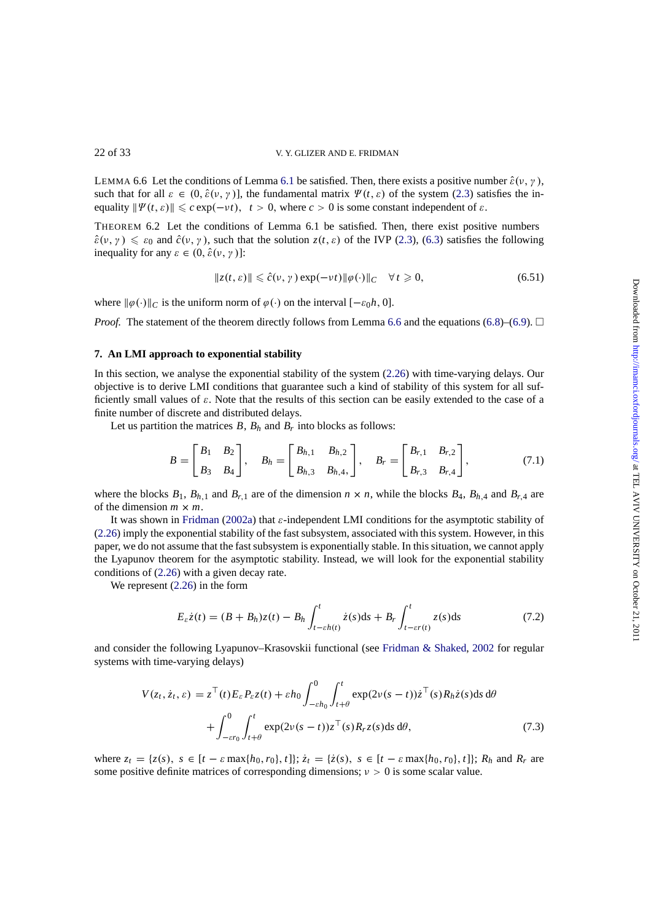LEMMA 6.6 Let the conditions of Lemma 6.1 be satisfied. Then, there exists a positive number  $\hat{\varepsilon}(v, \gamma)$ , such that for all  $\varepsilon \in (0, \hat{\varepsilon}(v, \gamma))$ , the fundamental matrix  $\Psi(t, \varepsilon)$  of the system (2.3) satisfies the inequality  $\|\Psi(t, \varepsilon)\| \leq c \exp(-\nu t), t > 0$ , where  $c > 0$  is some constant independent of  $\varepsilon$ .

THEOREM 6.2 Let the conditions of Lemma 6.1 be satisfied. Then, there exist positive numbers  $\hat{\varepsilon}(\nu, \gamma) \leq \varepsilon_0$  and  $\hat{c}(\nu, \gamma)$ , such that the s[olut](#page-16-0)ion  $z(t, \varepsilon)$  of the IVP (2.3), (6.3) sa[tisfi](#page-3-0)es the following inequality for any  $\varepsilon \in (0, \hat{\varepsilon}(\nu, \gamma))$ :

$$
||z(t, \varepsilon)|| \leq \hat{c}(v, \gamma) \exp(-vt) ||\varphi(\cdot)||_{C} \quad \forall t \geq 0,
$$
\n(6.51)

where  $\|\varphi(\cdot)\|_C$  is the uniform norm of  $\varphi(\cdot)$  on the interval  $[-\varepsilon_0 h, 0]$ .

*Proof.* The statement of the theorem directly follows from Lemma 6.6 and the equations (6.8)–(6.9).  $\Box$ 

# **7. An LMI approach to exponential stability**

In this section, we analyse the exponential stability of the system ([2.26](#page-20-0)) with time-varyin[g de](#page-15-0)la[ys.](#page-15-0) Our objective is to derive LMI conditions that guarantee such a kind of stability of this system for all sufficiently small values of  $\varepsilon$ . Note that the results of this section can be easily extended to the case of a finite number of discrete and distributed delays.

Let us partition the matrices  $B$ ,  $B_h$  and  $B_r$  into blocks as follo[ws:](#page-6-0)

$$
B = \begin{bmatrix} B_1 & B_2 \\ B_3 & B_4 \end{bmatrix}, \quad B_h = \begin{bmatrix} B_{h,1} & B_{h,2} \\ B_{h,3} & B_{h,4} \end{bmatrix}, \quad B_r = \begin{bmatrix} B_{r,1} & B_{r,2} \\ B_{r,3} & B_{r,4} \end{bmatrix}, \tag{7.1}
$$

where the blocks  $B_1$ ,  $B_{h,1}$  and  $B_{r,1}$  are of the dimension  $n \times n$ , while the blocks  $B_4$ ,  $B_{h,4}$  and  $B_{r,4}$  are of the dimension  $m \times m$ .

It was shown in Fridman (2002a) that  $\varepsilon$ -independent LMI conditions for the asymptotic stability of (2.26) imply the exponential stability of the fast subsystem, associated with this system. However, in this paper, we do not assume that the fast subsystem is exponentially stable. In this situation, we cannot apply the Lyapunov theorem for the asymptotic stability. Instead, we will look for the exponential stability conditions of (2.26) [with a given dec](#page-30-0)ay rate.

[W](#page-6-0)e represent  $(2.26)$  in the form

$$
E_{\varepsilon}\dot{z}(t) = (B + B_h)z(t) - B_h \int_{t-\varepsilon h(t)}^{t} \dot{z}(s)ds + B_r \int_{t-\varepsilon r(t)}^{t} z(s)ds
$$
 (7.2)

and consider the f[ollow](#page-6-0)ing Lyapunov–Krasovskii functional (see Fridman & Shaked, 2002 for regular systems with time-varying delays)

$$
V(z_t, \dot{z}_t, \varepsilon) = z^{\top}(t) E_{\varepsilon} P_{\varepsilon} z(t) + \varepsilon h_0 \int_{-\varepsilon h_0}^0 \int_{t+\theta}^t \exp(2\nu (s-t)) \dot{z}^{\top}(s) R_h \dot{z}(s) ds d\theta + \int_{-\varepsilon r_0}^0 \int_{t+\theta}^t \exp(2\nu (s-t)) z^{\top}(s) R_r z(s) ds d\theta,
$$
 (7.3)

where  $z_t = \{z(s), s \in [t - \varepsilon \max\{h_0, r_0\}, t]\}; \dot{z}_t = \{\dot{z}(s), s \in [t - \varepsilon \max\{h_0, r_0\}, t]\}; R_h$  and  $R_r$  are some positive definite matrices of corresponding dimensions;  $v > 0$  is some scalar value.

<span id="page-21-0"></span>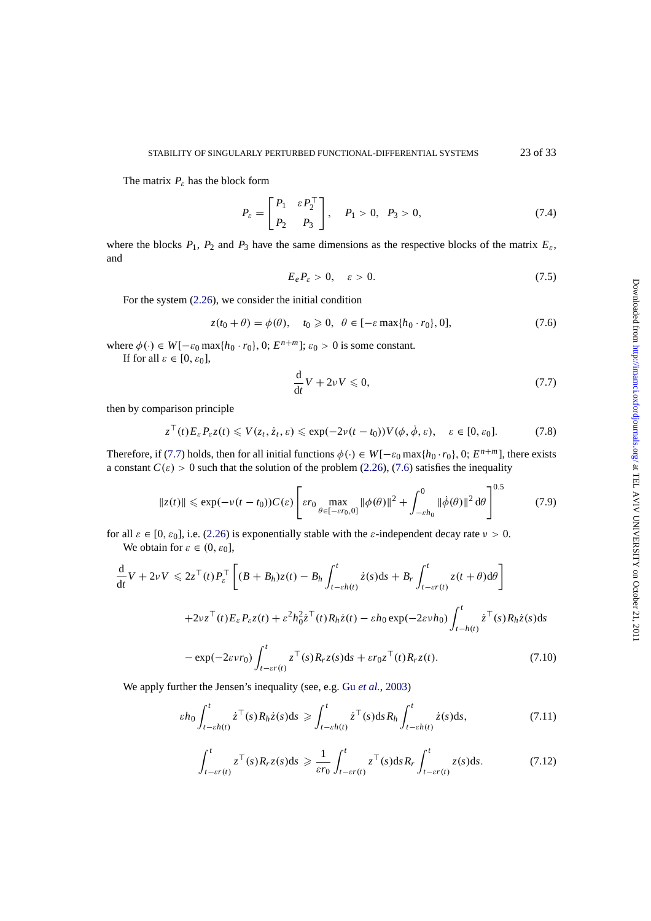<span id="page-22-0"></span>The matrix  $P_{\varepsilon}$  has the block form

$$
P_{\varepsilon} = \begin{bmatrix} P_1 & \varepsilon P_2^{\top} \\ P_2 & P_3 \end{bmatrix}, \quad P_1 > 0, \quad P_3 > 0,
$$
 (7.4)

where the blocks  $P_1$ ,  $P_2$  and  $P_3$  have the same dimensions as the respective blocks of the matrix  $E_{\varepsilon}$ , and

$$
E_e P_\varepsilon > 0, \quad \varepsilon > 0. \tag{7.5}
$$

For the system (2.26), we consider the initial condition

$$
z(t_0 + \theta) = \phi(\theta), \quad t_0 \ge 0, \quad \theta \in [-\varepsilon \max\{h_0 \cdot r_0\}, 0], \tag{7.6}
$$

where  $\phi(\cdot) \in W[-\varepsilon_0 \max\{h_0 \cdot r_0\}, 0; E^{n+m}]$ ;  $\varepsilon_0 > 0$  is some constant.

If for all  $\varepsilon \in [0, \varepsilon_0]$ ,

$$
\frac{\mathrm{d}}{\mathrm{d}t}V + 2\nu V \leqslant 0,\tag{7.7}
$$

then by comparison principle

$$
z^{\top}(t)E_{\varepsilon}P_{\varepsilon}z(t)\leqslant V(z_t,\dot{z}_t,\varepsilon)\leqslant \exp(-2\nu(t-t_0))V(\phi,\dot{\phi},\varepsilon),\quad \varepsilon\in[0,\varepsilon_0].\tag{7.8}
$$

Therefore, if (7.7) holds, then for all initial functions  $\phi(\cdot) \in W[-\varepsilon_0 \max\{h_0 \cdot r_0\}, 0; E^{n+m}]$ , there exists a constant  $C(\varepsilon) > 0$  such that the solution of the problem (2.26), (7.6) satisfies the inequality

$$
\|z(t)\| \le \exp(-\nu(t-t_0))C(\varepsilon) \left[ \varepsilon r_0 \max_{\theta \in [-\varepsilon r_0,0]} \| \phi(\theta) \|^2 + \int_{-\varepsilon h_0}^0 \| \dot{\phi}(\theta) \|^2 d\theta \right]^{0.5}
$$
(7.9)

for all  $\varepsilon \in [0, \varepsilon_0]$ , i.e. (2.26) is exponentially stable with the  $\varepsilon$ -independent decay rate  $v > 0$ . We obtain for  $\varepsilon \in (0, \varepsilon_0]$ ,

$$
\frac{d}{dt}V + 2\nu V \le 2z^{\top}(t)P_{\varepsilon}^{\top} \left[ (B + B_h)z(t) - B_h \int_{t-\varepsilon h(t)}^{t} \dot{z}(s)ds + B_r \int_{t-\varepsilon r(t)}^{t} z(t+\theta)d\theta \right]
$$
  
+2\nu z^{\top}(t)E\_{\varepsilon}P\_{\varepsilon}z(t) + \varepsilon^2 h\_0^2 \dot{z}^{\top}(t)R\_h \dot{z}(t) - \varepsilon h\_0 \exp(-2\varepsilon \nu h\_0) \int\_{t-h(t)}^{t} \dot{z}^{\top}(s)R\_h \dot{z}(s)ds  
- \exp(-2\varepsilon \nu r\_0) \int\_{t-\varepsilon r(t)}^{t} z^{\top}(s)R\_r z(s)ds + \varepsilon r\_0 z^{\top}(t)R\_r z(t). \tag{7.10}

We apply further the Jensen's inequality (see, e.g. Gu *et al.*, 2003)

$$
\varepsilon h_0 \int_{t-\varepsilon h(t)}^t \dot{z}^\top(s) R_h \dot{z}(s) ds \geqslant \int_{t-\varepsilon h(t)}^t \dot{z}^\top(s) ds R_h \int_{t-\varepsilon h(t)}^t \dot{z}(s) ds,
$$
\n(7.11)

$$
\int_{t-\varepsilon r(t)}^{t} z^{\top}(s) R_r z(s) ds \geq \frac{1}{\varepsilon r_0} \int_{t-\varepsilon r(t)}^{t} z^{\top}(s) ds R_r \int_{t-\varepsilon r(t)}^{t} z(s) ds.
$$
 (7.12)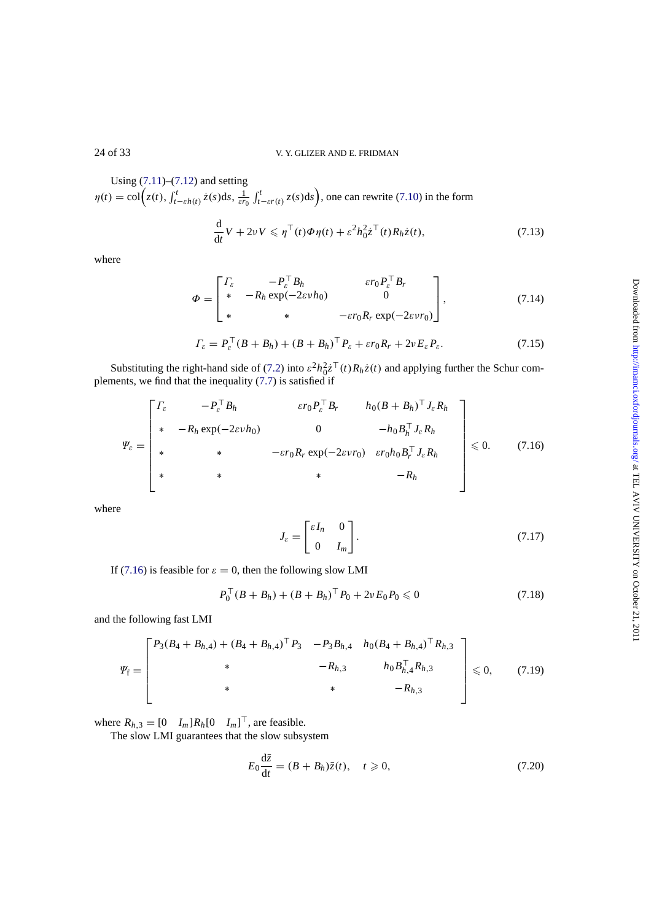Using (7.11)–(7.12) and setting  $\eta(t) = \text{col}\Big(z(t), \int_{t-\varepsilon h(t)}^t \dot{z}(s)ds, \frac{1}{\varepsilon r_0} \int_{t-\varepsilon r(t)}^t z(s)ds\Big)$ , one can rewrite (7.10) in the form

$$
\frac{\mathrm{d}}{\mathrm{d}t}V + 2\nu V \leqslant \eta^{\top}(t)\Phi\eta(t) + \varepsilon^{2}h_{0}^{2}\dot{z}^{\top}(t)R_{h}\dot{z}(t),\tag{7.13}
$$

where

$$
\Phi = \begin{bmatrix} \varGamma_{\varepsilon} & -P_{\varepsilon}^{\top} B_h & \varepsilon r_0 P_{\varepsilon}^{\top} B_r \\ * & -R_h \exp(-2\varepsilon v h_0) & 0 \\ * & * & -\varepsilon r_0 R_r \exp(-2\varepsilon v r_0) \end{bmatrix},\tag{7.14}
$$

$$
\Gamma_{\varepsilon} = P_{\varepsilon}^{\top} (B + B_h) + (B + B_h)^{\top} P_{\varepsilon} + \varepsilon r_0 R_r + 2\nu E_{\varepsilon} P_{\varepsilon}.
$$
 (7.15)

Substituting the right-hand side of (7.2) into  $\varepsilon^2 h_0^2 \dot{z}^\top(t) R_h \dot{z}(t)$  and applying further the Schur complements, we find that the inequality (7.7) is satisfied if

$$
\Psi_{\varepsilon} = \begin{bmatrix}\n\Gamma_{\varepsilon} & -P_{\varepsilon}^{\top} B_h & \varepsilon r_0 P_{\varepsilon}^{\top} B_r & h_0 (B + B_h)^{\top} J_{\varepsilon} R_h \\
\ast & -R_h \exp(-2\varepsilon v h_0) & 0 & -h_0 B_h^{\top} J_{\varepsilon} R_h \\
\ast & \ast & -\varepsilon r_0 R_r \exp(-2\varepsilon v r_0) & \varepsilon r_0 h_0 B_r^{\top} J_{\varepsilon} R_h \\
\ast & \ast & -R_h\n\end{bmatrix} \leq 0. \tag{7.16}
$$

where

$$
J_{\varepsilon} = \begin{bmatrix} \varepsilon I_n & 0 \\ 0 & I_m \end{bmatrix} . \tag{7.17}
$$

If (7.16) is feasible for  $\varepsilon = 0$ , then the following slow LMI

$$
P_0^{\top}(B + B_h) + (B + B_h)^{\top} P_0 + 2\nu E_0 P_0 \leq 0 \tag{7.18}
$$

and the following fast LMI

$$
\Psi_{\rm f} = \begin{bmatrix} P_3(B_4 + B_{h,4}) + (B_4 + B_{h,4})^\top P_3 & -P_3 B_{h,4} & h_0 (B_4 + B_{h,4})^\top R_{h,3} \\ * & -R_{h,3} & h_0 B_{h,4}^\top R_{h,3} \\ * & * & -R_{h,3} \end{bmatrix} \leq 0, \qquad (7.19)
$$

where  $R_{h,3} = \begin{bmatrix} 0 & I_m \end{bmatrix} R_h \begin{bmatrix} 0 & I_m \end{bmatrix}^\dagger$ , are feasible.

The slow LMI guarantees that the slow subsystem

$$
E_0 \frac{\mathrm{d}\bar{z}}{\mathrm{d}t} = (B + B_h)\bar{z}(t), \quad t \ge 0,
$$
\n(7.20)

<span id="page-23-0"></span>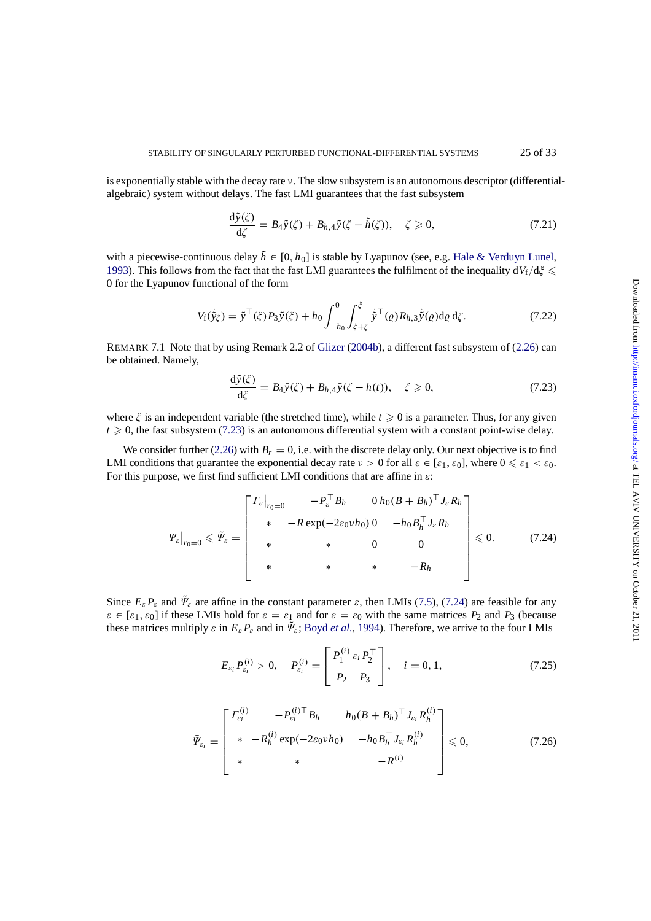<span id="page-24-0"></span>is exponentially stable with the decay rate ν. The slow subsystem is an autonomous descriptor (differentialalgebraic) system without delays. The fast LMI guarantees that the fast subsystem

$$
\frac{d\tilde{y}(\xi)}{d\xi} = B_4 \tilde{y}(\xi) + B_{h,4} \tilde{y}(\xi - \tilde{h}(\xi)), \quad \xi \ge 0,
$$
\n(7.21)

with a piecewise-continuous delay  $\tilde{h} \in [0, h_0]$  is stable by Lyapunov (see, e.g. Hale & Verduyn Lunel, 1993). This follows from the fact that the fast LMI guarantees the fulfilment of the inequality  $dV_f/d\zeta \leq$ 0 for the Lyapunov functional of the form

$$
V_{\mathbf{f}}(\dot{\tilde{y}}_{\xi}) = \tilde{y}^{\top}(\xi) P_3 \tilde{y}(\xi) + h_0 \int_{-h_0}^{0} \int_{\xi + \zeta}^{\xi} \dot{\tilde{y}}^{\top}(\varrho) R_{h,3} \dot{\tilde{y}}(\varrho) d\varrho d\zeta.
$$
 (7.22)

REMARK 7.1 Note that by using Remark 2.2 of Glizer (2004b), a different fast subsystem of (2.26) can be obtained. Namely,

$$
\frac{d\tilde{y}(\xi)}{d\xi} = B_4 \tilde{y}(\xi) + B_{h,4} \tilde{y}(\xi - h(t)), \quad \xi \ge 0,
$$
\n(7.23)

where  $\zeta$  is an independent variable (the stretched time), while  $t \geq 0$  is a parameter. Thus, for any given  $t \geq 0$ , the fast subsystem (7.23) is an autonomous differential system with a constant point-wise delay.

We consider further (2.26) with  $B_r = 0$ , i.e. with the discrete delay only. Our next objective is to find LMI conditions that guarantee the exponential decay rate  $\nu > 0$  for all  $\varepsilon \in [\varepsilon_1, \varepsilon_0]$ , where  $0 \leq \varepsilon_1 < \varepsilon_0$ . For this purpose, we first find sufficient LMI conditions that are affine in  $\varepsilon$ :

$$
\left. \Psi_{\varepsilon} \right|_{r_0=0} \leqslant \tilde{\Psi}_{\varepsilon} = \begin{bmatrix} \left. \Gamma_{\varepsilon} \right|_{r_0=0} & -P_{\varepsilon}^{\top} B_h & 0 \, h_0 (B + B_h)^{\top} J_{\varepsilon} R_h \\ \ast & -R \exp(-2\varepsilon_0 v h_0) \, 0 & -h_0 B_h^{\top} J_{\varepsilon} R_h \\ \ast & \ast & 0 & 0 \\ \ast & \ast & \ast & -R_h \end{bmatrix} \leqslant 0. \tag{7.24}
$$

Since  $E_{\varepsilon} P_{\varepsilon}$  and  $\tilde{\Psi}_{\varepsilon}$  are affine in the constant parameter  $\varepsilon$ , then LMIs (7.5), (7.24) are feasible for any  $\varepsilon \in [\varepsilon_1, \varepsilon_0]$  if these LMIs hold for  $\varepsilon = \varepsilon_1$  and for  $\varepsilon = \varepsilon_0$  with the same matrices  $P_2$  and  $P_3$  (because these matrices multiply  $\varepsilon$  in  $E_{\varepsilon}P_{\varepsilon}$  and in  $\tilde{\Psi}_{\varepsilon}$ ; Boyd *et al.*, 1994). Therefore, we arrive to the four LMIs

$$
E_{\varepsilon_i} P_{\varepsilon_i}^{(i)} > 0, \quad P_{\varepsilon_i}^{(i)} = \begin{bmatrix} P_1^{(i)} \varepsilon_i P_2^{\top} \\ P_2 & P_3 \end{bmatrix}, \quad i = 0, 1,
$$
 (7.25)

$$
\bar{\Psi}_{\varepsilon_i} = \begin{bmatrix} \Gamma_{\varepsilon_i}^{(i)} & -P_{\varepsilon_i}^{(i)\top} B_h & h_0 (B + B_h)^\top J_{\varepsilon_i} R_h^{(i)} \\ \ast & -R_h^{(i)} \exp(-2\varepsilon_0 v h_0) & -h_0 B_h^\top J_{\varepsilon_i} R_h^{(i)} \\ \ast & \ast & -R^{(i)} \end{bmatrix} \leq 0, \tag{7.26}
$$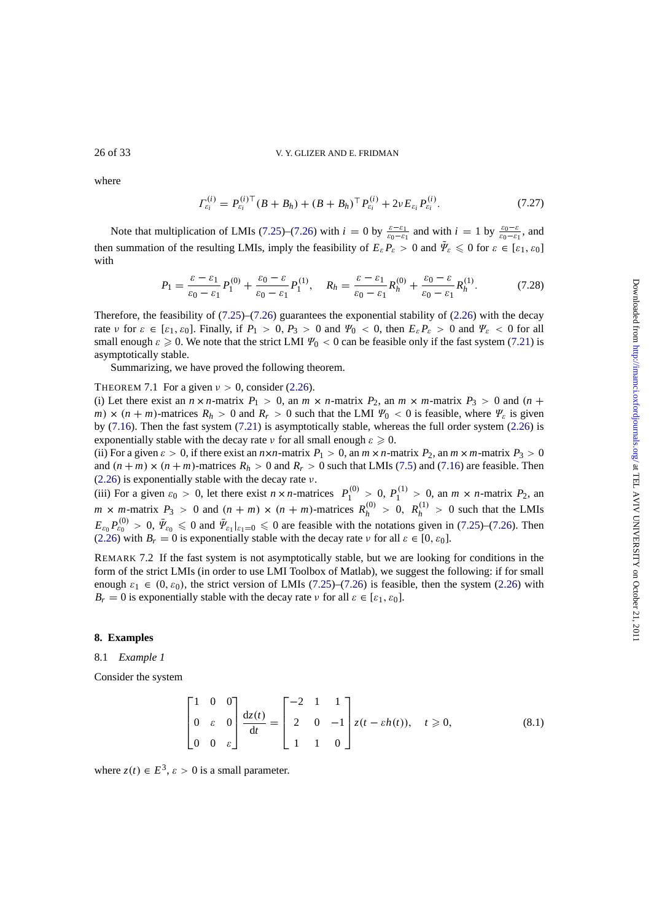<span id="page-25-0"></span>where

$$
\Gamma_{\varepsilon_i}^{(i)} = P_{\varepsilon_i}^{(i)\top} (B + B_h) + (B + B_h)^{\top} P_{\varepsilon_i}^{(i)} + 2\nu E_{\varepsilon_i} P_{\varepsilon_i}^{(i)}.
$$
\n(7.27)

Note that multiplication of LMIs (7.25)–(7.26) with  $i = 0$  by  $\frac{\varepsilon - \varepsilon_1}{\varepsilon_0 - \varepsilon_1}$  and with  $i = 1$  by  $\frac{\varepsilon_0 - \varepsilon}{\varepsilon_0 - \varepsilon_1}$ , and then summation of the resulting LMIs, imply the feasibility of  $E_{\varepsilon} P_{\varepsilon} > 0$  and  $\Psi_{\varepsilon} \leq 0$  for  $\varepsilon \in [\varepsilon_1, \varepsilon_0]$ with

$$
P_1 = \frac{\varepsilon - \varepsilon_1}{\varepsilon_0 - \varepsilon_1} P_1^{(0)} + \frac{\varepsilon_0 - \varepsilon}{\varepsilon_0 - \varepsilon_1} P_1^{(1)}, \quad R_h = \frac{\varepsilon - \varepsilon_1}{\varepsilon_0 - \varepsilon_1} R_h^{(0)} + \frac{\varepsilon_0 - \varepsilon}{\varepsilon_0 - \varepsilon_1} R_h^{(1)}.
$$
 (7.28)

Therefore, the feasibility of  $(7.25)$ – $(7.26)$  guarantees the exponential stability of  $(2.26)$  with the decay rate *ν* for  $\varepsilon \in [\varepsilon_1, \varepsilon_0]$ . Finally, if  $P_1 > 0$ ,  $P_3 > 0$  and  $\Psi_0 < 0$ , then  $E_{\varepsilon} P_{\varepsilon} > 0$  and  $\Psi_{\varepsilon} < 0$  for all small enough  $\varepsilon \geq 0$ . We note that the strict LMI  $\Psi_0 < 0$  can be feasible only if the fast system (7.21) is asymptotically stable.

Summarizing, we have p[roved](#page-24-0) t[he fol](#page-24-0)lowing theorem.

THEOREM 7.1 For a given  $v > 0$ , consider (2.26).

(i) Let there exist an  $n \times n$ -matrix  $P_1 > 0$ , an  $m \times n$ -matrix  $P_2$ , an  $m \times m$ -matrix  $P_3 > 0$  a[nd](#page-24-0)  $(n + n)$ *m*)  $\times$  (*n* + *m*)-matrices  $R_h > 0$  and  $R_r > 0$  such that the LMI  $\Psi_0 < 0$  is feasible, where  $\Psi_{\varepsilon}$  is given by (7.16). Then the fast system (7.21) is asymptotically stable, whereas the full order system (2.26) is exponentially stable with the decay rate  $\nu$  fo[r all s](#page-6-0)mall enough  $\varepsilon \geq 0$ .

(ii) For a given  $\varepsilon > 0$ , if there exist an  $n \times n$ -matrix  $P_1 > 0$ , an  $m \times n$ -matrix  $P_2$ , an  $m \times m$ -matrix  $P_3 > 0$ and  $(n + m) \times (n + m)$ -matrices  $R_h > 0$  and  $R_r > 0$  such that LMIs (7.5) and (7.16) are feasible. Then  $(2.26)$  is exponentially stable wit[h the](#page-24-0) decay rate  $\nu$ .

(iii) For a given  $\varepsilon_0 > 0$ , let there exist  $n \times n$ -matrices  $P_1^{(0)} > 0$ ,  $P_1^{(1)} > 0$ , an  $m \times n$ -matrix  $P_2$ , an  $m \times m$ -matrix  $P_3 > 0$  and  $(n + m) \times (n + m)$ -matrices  $R_h^{(0)} > 0$ ,  $R_h^{(1)} > 0$  such that the LMIs  $E_{\varepsilon_0} P_{\varepsilon_0}^{(0)} > 0$  $E_{\varepsilon_0} P_{\varepsilon_0}^{(0)} > 0$  $E_{\varepsilon_0} P_{\varepsilon_0}^{(0)} > 0$  $E_{\varepsilon_0} P_{\varepsilon_0}^{(0)} > 0$  $E_{\varepsilon_0} P_{\varepsilon_0}^{(0)} > 0$ ,  $\bar{\Psi}_{\varepsilon_0} \leq 0$  and  $\bar{\Psi}_{\varepsilon_1}|_{\varepsilon_1=0} \leq 0$  are feasible with the notat[ions](#page-22-0) given [in](#page-23-0) (7.25)–(7.26). Then [\(2.26\)](#page-6-0) with  $B_r = 0$  is exponentially stable with the decay rate  $\nu$  for all  $\varepsilon \in [0, \varepsilon_0]$ .

REMARK 7.2 If the fast system is not asymptotically stable, but we are looking for conditions in the form of the strict LMIs (in order to use LMI Toolbox of Matlab), we suggest the following: if for small enough  $\varepsilon_1 \in (0, \varepsilon_0)$ , the strict version of LMIs (7.25)–(7.26) is feasible, then the [syste](#page-24-0)m [\(2.26](#page-24-0)) with  $B_r = 0$  is exponentially stable with the decay rate *ν* for all  $\varepsilon \in [\varepsilon_1, \varepsilon_0]$ .

# **8. Examples**

# 8.1 *Example 1*

Consider the system

$$
\begin{bmatrix} 1 & 0 & 0 \ 0 & \varepsilon & 0 \ 0 & 0 & \varepsilon \end{bmatrix} \frac{dz(t)}{dt} = \begin{bmatrix} -2 & 1 & 1 \ 2 & 0 & -1 \ 1 & 1 & 0 \end{bmatrix} z(t - \varepsilon h(t)), \quad t \ge 0,
$$
 (8.1)

where  $z(t) \in E^3$ ,  $\varepsilon > 0$  is a small parameter.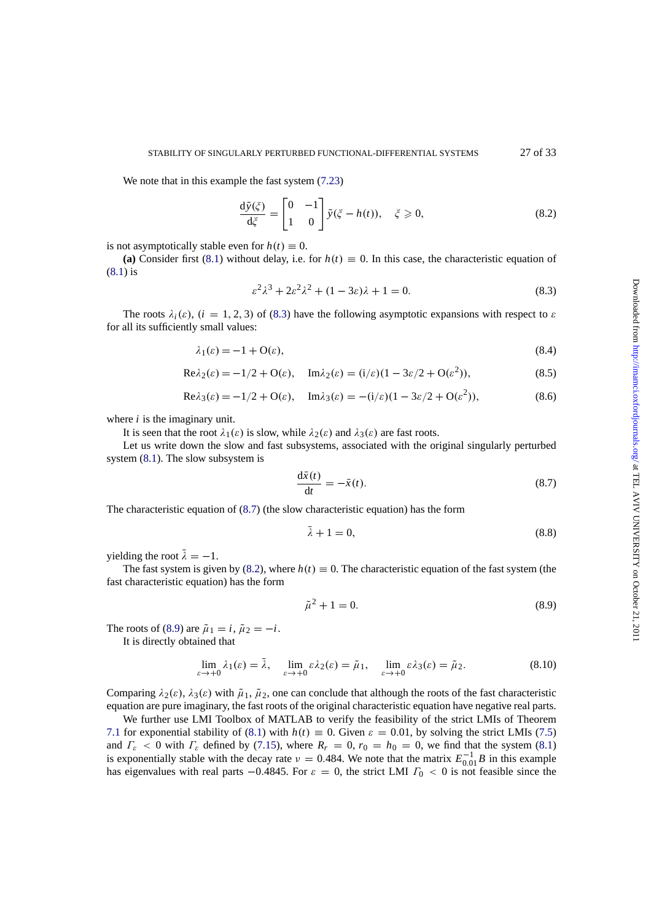We note that in this example the fast system (7.23)

$$
\frac{d\tilde{y}(\xi)}{d\xi} = \begin{bmatrix} 0 & -1 \\ 1 & 0 \end{bmatrix} \tilde{y}(\xi - h(t)), \quad \xi \ge 0,
$$
\n(8.2)

is not asymptotically stable even for  $h(t) \equiv 0$ .

(a) Consider first (8.1) without delay, i.e. for  $h(t) \equiv 0$ . In this case, the characteristic equation of (8.1) is

$$
\varepsilon^2 \lambda^3 + 2\varepsilon^2 \lambda^2 + (1 - 3\varepsilon)\lambda + 1 = 0. \tag{8.3}
$$

The roots  $\lambda_i(\varepsilon)$ ,  $(i = 1, 2, 3)$  $(i = 1, 2, 3)$  $(i = 1, 2, 3)$  of (8.3) have the following asymptotic expansions with respect to  $\varepsilon$ f[or a](#page-25-0)ll its sufficiently small values:

$$
\lambda_1(\varepsilon) = -1 + O(\varepsilon),\tag{8.4}
$$

$$
Re\lambda_2(\varepsilon) = -1/2 + O(\varepsilon), \quad Im\lambda_2(\varepsilon) = (i/\varepsilon)(1 - 3\varepsilon/2 + O(\varepsilon^2)),
$$
\n(8.5)

$$
Re \lambda_3(\varepsilon) = -1/2 + O(\varepsilon), \quad Im \lambda_3(\varepsilon) = -(\mathrm{i}/\varepsilon)(1 - 3\varepsilon/2 + O(\varepsilon^2)), \tag{8.6}
$$

where *i* is the imaginary unit.

It is seen that the root  $\lambda_1(\varepsilon)$  is slow, while  $\lambda_2(\varepsilon)$  and  $\lambda_3(\varepsilon)$  are fast roots.

Let us write down the slow and fast subsystems, associated with the original singularly perturbed system  $(8.1)$ . The slow subsystem is

$$
\frac{\mathrm{d}\bar{x}(t)}{\mathrm{d}t} = -\bar{x}(t). \tag{8.7}
$$

The cha[ract](#page-25-0)eristic equation of (8.7) (the slow characteristic equation) has the form

$$
\bar{\lambda} + 1 = 0,\tag{8.8}
$$

yielding the root  $\bar{\lambda} = -1$ .

The fast system is given by (8.2), where  $h(t) \equiv 0$ . The characteristic equation of the fast system (the fast characteristic equation) has the form

$$
\tilde{\mu}^2 + 1 = 0.\t(8.9)
$$

The roots of (8.9) are  $\tilde{\mu}_1 = i$ ,  $\tilde{\mu}_2 = -i$ .

It is directly obtained that

$$
\lim_{\varepsilon \to +0} \lambda_1(\varepsilon) = \bar{\lambda}, \quad \lim_{\varepsilon \to +0} \varepsilon \lambda_2(\varepsilon) = \tilde{\mu}_1, \quad \lim_{\varepsilon \to +0} \varepsilon \lambda_3(\varepsilon) = \tilde{\mu}_2. \tag{8.10}
$$

Comparing  $\lambda_2(\varepsilon)$ ,  $\lambda_3(\varepsilon)$  with  $\tilde{\mu}_1$ ,  $\tilde{\mu}_2$ , one can conclude that although the roots of the fast characteristic equation are pure imaginary, the fast roots of the original characteristic equation have negative real parts.

We further use LMI Toolbox of MATLAB to verify the feasibility of the strict LMIs of Theorem 7.1 for exponential stability of (8.1) with  $h(t) \equiv 0$ . Given  $\varepsilon = 0.01$ , by solving the strict LMIs (7.5) and  $\Gamma_{\varepsilon}$  < 0 with  $\Gamma_{\varepsilon}$  defined by (7.15), where  $R_r = 0$ ,  $r_0 = h_0 = 0$ , we find that the system (8.1) is exponentially stable with the decay rate  $\nu = 0.484$ . We note that the matrix  $E_{0.01}^{-1}B$  in this example has eigenvalues with real parts  $-0.4845$ . For  $\varepsilon = 0$ , the strict LMI  $\Gamma_0 < 0$  is not feasible since the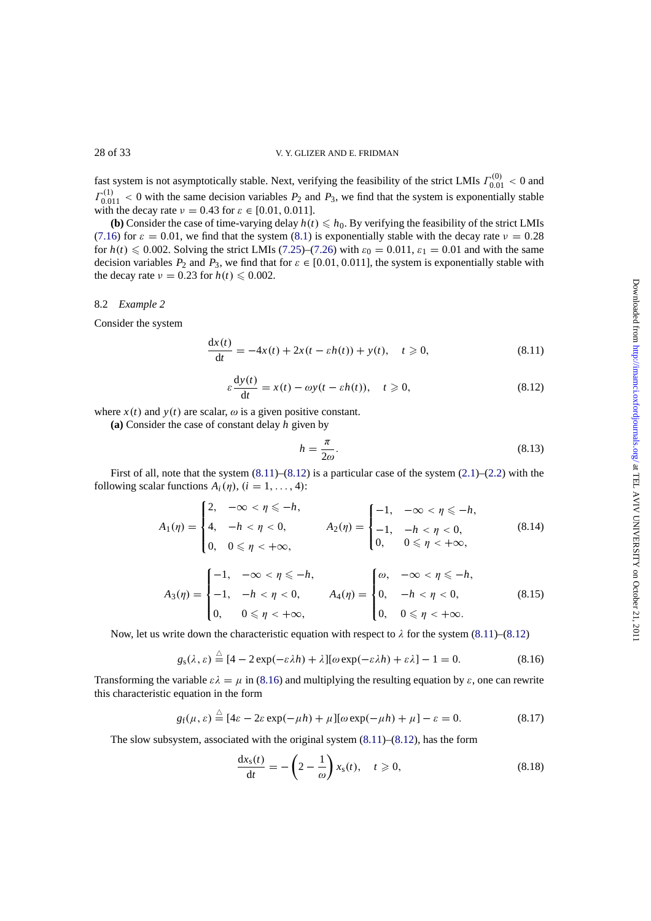fast system is not asymptotically stable. Next, verifying the feasibility of the strict LMIs  $\Gamma_{0.01}^{(0)} < 0$  and  $\Gamma_{0.011}^{(1)}$  < 0 with the same decision variables  $P_2$  and  $P_3$ , we find that the system is exponentially stable with the decay rate  $v = 0.43$  for  $\varepsilon \in [0.01, 0.011]$ .

**(b)** Consider the case of time-varying delay  $h(t) \leq h_0$ . By verifying the feasibility of the strict LMIs (7.16) for  $\varepsilon = 0.01$ , we find that the system (8.1) is exponentially stable with the decay rate  $v = 0.28$ for  $h(t) \le 0.002$ . Solving the strict LMIs (7.25)–(7.26) with  $\varepsilon_0 = 0.011$ ,  $\varepsilon_1 = 0.01$  and with the same decision variables  $P_2$  and  $P_3$ , we find that for  $\varepsilon \in [0.01, 0.011]$ , the system is exponentially stable with the decay rate  $v = 0.23$  for  $h(t) \le 0.002$ .

# 8.2 *Example 2*

Consider the system

$$
\frac{dx(t)}{dt} = -4x(t) + 2x(t - \varepsilon h(t)) + y(t), \quad t \ge 0,
$$
\n(8.11)

$$
\varepsilon \frac{dy(t)}{dt} = x(t) - \omega y(t - \varepsilon h(t)), \quad t \ge 0,
$$
\n(8.12)

where  $x(t)$  and  $y(t)$  are scalar,  $\omega$  is a given positive constant.

**(a)** Consider the case of constant delay *h* given by

$$
h = \frac{\pi}{2\omega}.\tag{8.13}
$$

First of all, note that the system  $(8.11)$ – $(8.12)$  is a particular case of the system  $(2.1)$ – $(2.2)$  with the following scalar functions  $A_i(\eta)$ ,  $(i = 1, ..., 4)$ :

$$
A_1(\eta) = \begin{cases} 2, & -\infty < \eta \le -h, \\ 4, & -h < \eta < 0, \\ 0, & 0 \le \eta < +\infty, \end{cases} \qquad A_2(\eta) = \begin{cases} -1, & -\infty < \eta \le -h, \\ -1, & -h < \eta < 0, \\ 0, & 0 \le \eta < +\infty, \end{cases} \qquad (8.14)
$$

$$
A_3(\eta) = \begin{cases} -1, & -\infty < \eta \leq -h, \\ -1, & -h < \eta < 0, \\ 0, & 0 \leq \eta < +\infty, \end{cases} \qquad A_4(\eta) = \begin{cases} \omega, & -\infty < \eta \leq -h, \\ 0, & -h < \eta < 0, \\ 0, & 0 \leq \eta < +\infty. \end{cases} \qquad (8.15)
$$

Now, let us write down the characteristic equation with respect to  $\lambda$  for the system (8.11)–(8.12)

$$
g_{\rm s}(\lambda,\varepsilon) \stackrel{\triangle}{=} [4 - 2\exp(-\varepsilon\lambda h) + \lambda][\omega\exp(-\varepsilon\lambda h) + \varepsilon\lambda] - 1 = 0. \tag{8.16}
$$

Transforming the variable  $\epsilon \lambda = \mu$  in (8.16) and multiplying the resulting equation by  $\epsilon$ , one can rewrite this characteristic equation in the form

$$
g_{\rm f}(\mu,\varepsilon) \stackrel{\triangle}{=} [4\varepsilon - 2\varepsilon \exp(-\mu h) + \mu] [\omega \exp(-\mu h) + \mu] - \varepsilon = 0. \tag{8.17}
$$

The slow subsystem, associated with the original system (8.11)–(8.12), has the form

$$
\frac{dx_s(t)}{dt} = -\left(2 - \frac{1}{\omega}\right) x_s(t), \quad t \geqslant 0,
$$
\n(8.18)

<span id="page-27-0"></span>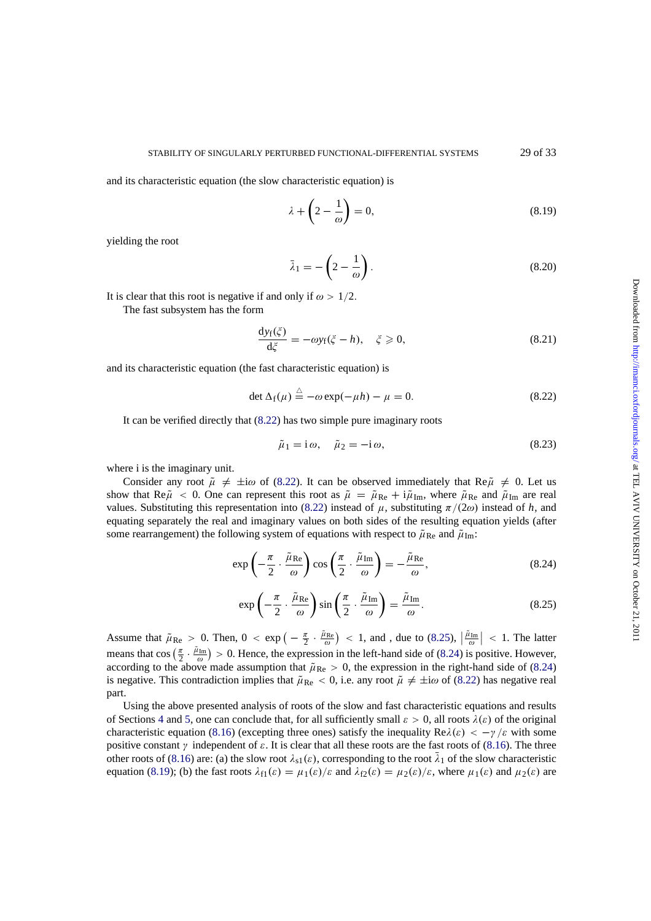and its characteristic equation (the slow characteristic equation) is

$$
\lambda + \left(2 - \frac{1}{\omega}\right) = 0,\tag{8.19}
$$

yielding the root

$$
\bar{\lambda}_1 = -\left(2 - \frac{1}{\omega}\right). \tag{8.20}
$$

It is clear that this root is negative if and only if  $\omega > 1/2$ .

The fast subsystem has the form

$$
\frac{dy_f(\zeta)}{d\zeta} = -\omega y_f(\zeta - h), \quad \zeta \ge 0,
$$
\n(8.21)

and its characteristic equation (the fast characteristic equation) is

$$
\det \Delta_f(\mu) \stackrel{\triangle}{=} -\omega \exp(-\mu h) - \mu = 0. \tag{8.22}
$$

It can be verified directly that (8.22) has two simple pure imaginary roots

$$
\tilde{\mu}_1 = i\omega, \quad \tilde{\mu}_2 = -i\omega,\tag{8.23}
$$

where i is the imaginary unit.

Consider any root  $\tilde{\mu} \neq \pm i\omega$  of (8.22). It can be observed immediately that Re $\tilde{\mu} \neq 0$ . Let us show that Re $\tilde{\mu}$  < 0. One can represent this root as  $\tilde{\mu} = \tilde{\mu}_{\text{Re}} + i \tilde{\mu}_{\text{Im}}$ , where  $\tilde{\mu}_{\text{Re}}$  and  $\tilde{\mu}_{\text{Im}}$  are real values. Substituting this representation into (8.22) instead of  $\mu$ , substituting  $\pi/(2\omega)$  instead of *h*, and equating separately the real and imaginary values on both sides of the resulting equation yields (after some rearrangement) the following system of equations with respect to  $\tilde{\mu}_{\text{Re}}$  and  $\tilde{\mu}_{\text{Im}}$ :

$$
\exp\left(-\frac{\pi}{2}\cdot\frac{\tilde{\mu}_{\text{Re}}}{\omega}\right)\cos\left(\frac{\pi}{2}\cdot\frac{\tilde{\mu}_{\text{Im}}}{\omega}\right) = -\frac{\tilde{\mu}_{\text{Re}}}{\omega},\tag{8.24}
$$

$$
\exp\left(-\frac{\pi}{2}\cdot\frac{\tilde{\mu}_{\text{Re}}}{\omega}\right)\sin\left(\frac{\pi}{2}\cdot\frac{\tilde{\mu}_{\text{Im}}}{\omega}\right) = \frac{\tilde{\mu}_{\text{Im}}}{\omega}.
$$
 (8.25)

Assume that  $\tilde{\mu}_{Re} > 0$ . Then,  $0 < \exp\left(-\frac{\pi}{2} \cdot \frac{\tilde{\mu}_{Re}}{\omega}\right) < 1$ , and , due to (8.25),  $\left|\frac{\tilde{\mu}_{Im}}{\omega}\right| < 1$ . The latter means that cos  $(\frac{\pi}{2} \cdot \frac{\tilde{\mu}_{Im}}{\omega}) > 0$ . Hence, the expression in the left-hand side of (8.24) is positive. However, according to the above made assumption that  $\tilde{\mu}_{Re} > 0$ , the expression in the right-hand side of (8.24) is negative. This contradiction implies that  $\tilde{\mu}_{\text{Re}} < 0$ , i.e. any root  $\tilde{\mu} \neq \pm i\omega$  of (8.22) has negative real part.

Using the above presented analysis of roots of the slow and fast characteristic equations and results of Sections 4 and 5, one can conclude that, for all sufficiently small  $\varepsilon > 0$ , all roots  $\lambda(\varepsilon)$  of the original characteristic equation (8.16) (excepting three ones) satisfy the inequality  $Re\lambda(\varepsilon) < -\gamma/\varepsilon$  with some positive constant  $\gamma$  independent of  $\varepsilon$ . It is clear that all these roots are the fast roots of (8.16). The three other roots of (8.16) are: (a) the slow root  $\lambda_{s1}(\varepsilon)$ , corresponding to the root  $\bar{\lambda}_1$  of the slow characteristic equation (8[.1](#page-9-0)9); ([b\)](#page-12-0) the fast roots  $\lambda_{f1}(\varepsilon) = \mu_1(\varepsilon)/\varepsilon$  and  $\lambda_{f2}(\varepsilon) = \mu_2(\varepsilon)/\varepsilon$ , where  $\mu_1(\varepsilon)$  and  $\mu_2(\varepsilon)$  are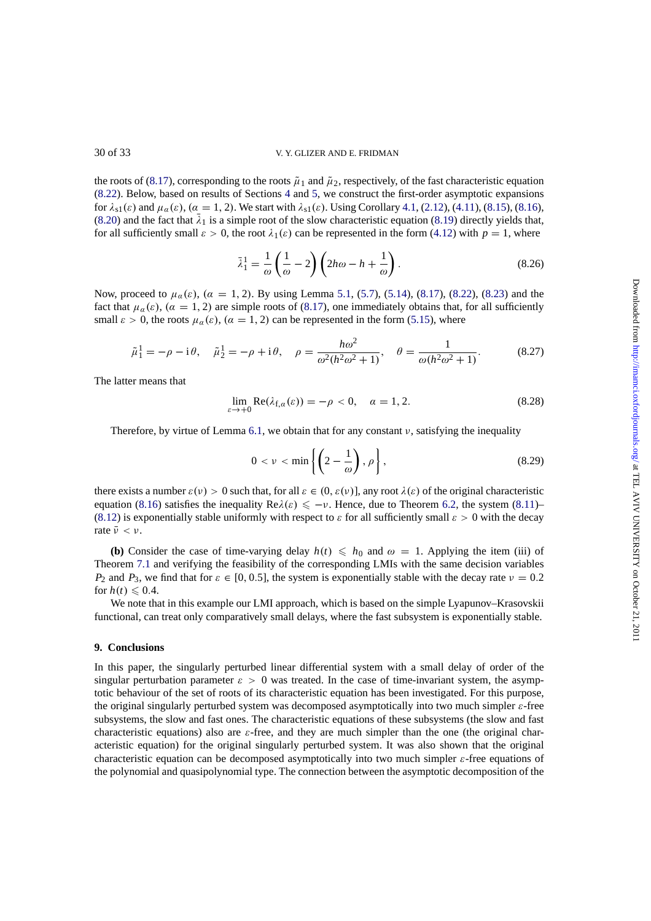the roots of (8.17), corresponding to the roots  $\tilde{\mu}_1$  and  $\tilde{\mu}_2$ , respectively, of the fast characteristic equation (8.22). Below, based on results of Sections 4 and 5, we construct the first-order asymptotic expansions for  $\lambda_{s1}(\varepsilon)$  and  $\mu_{\alpha}(\varepsilon)$ ,  $(\alpha = 1, 2)$ . We start with  $\lambda_{s1}(\varepsilon)$ . Using Corollary 4.1, (2.12), (4.11), (8.15), (8.16), (8.20) and the fact that  $\bar{\lambda}_1$  is a simple root of the slow characteristic equation (8.19) directly yields that, for all suffic[iently](#page-27-0) small  $\varepsilon > 0$ , the root  $\lambda_1(\varepsilon)$  can be represented in the form (4.12) with  $p = 1$ , where

$$
\bar{\lambda}_1^1 = \frac{1}{\omega} \left( \frac{1}{\omega} - 2 \right) \left( 2h\omega - h + \frac{1}{\omega} \right). \tag{8.26}
$$

Now, proceed to  $\mu_{\alpha}(\varepsilon)$ ,  $(\alpha = 1, 2)$ . By using Lemma 5.1, (5.7), (5.14), (8.[17\),](#page-10-0) [\(8](#page-10-0).22), (8.23) and the fact that  $\mu_{\alpha}(\varepsilon)$ ,  $(\alpha = 1, 2)$  are simple roots of (8.17), one immediately obtains that, for all sufficiently small  $\varepsilon > 0$ , the roots  $\mu_{\alpha}(\varepsilon)$ ,  $(\alpha = 1, 2)$  can be represented in the form (5.15), where

$$
\tilde{\mu}_1^1 = -\rho - i\theta, \quad \tilde{\mu}_2^1 = -\rho + i\theta, \quad \rho = \frac{h\omega^2}{\omega^2(h^2\omega^2 + 1)}, \quad \theta = \frac{1}{\omega(h^2\omega^2 + 1)}.
$$
 (8.27)

The latter means that

$$
\lim_{\varepsilon \to +0} \text{Re}(\lambda_{f,\alpha}(\varepsilon)) = -\rho < 0, \quad \alpha = 1, 2. \tag{8.28}
$$

Therefore, by virtue of Lemma 6.1, we obtain that for any constant  $\nu$ , satisfying the inequality

$$
0 < \nu < \min\left\{ \left( 2 - \frac{1}{\omega} \right), \rho \right\},\tag{8.29}
$$

t[h](#page-16-0)ere exists a number  $\varepsilon(v) > 0$  such [tha](#page-16-0)t, for all  $\varepsilon \in (0, \varepsilon(v))$ , any root  $\lambda(\varepsilon)$  of the original characteristic equation (8.16) satisfies the inequality  $\text{Re}\lambda(\varepsilon) \leq -\nu$ . Hence, due to Theorem 6.2, the system (8.11)– (8.12) is exponentially stable uniformly with respect to  $\varepsilon$  for all sufficiently small  $\varepsilon > 0$  with the decay rate  $\bar{\nu} < \nu$ .

**(b)** C[onsid](#page-27-0)er the case of time-varying delay  $h(t) \leq h_0$  and  $\omega = 1$ . Applying the item (iii) of [Theor](#page-27-0)em 7.1 and verifying the feasibility of the corresponding LMIs with the [sam](#page-17-0)e decision va[riable](#page-27-0)s *P*<sub>2</sub> and *P*<sub>3</sub>, we find that for  $\varepsilon \in [0, 0.5]$ , the system is exponentially stable with the decay rate  $v = 0.2$ for  $h(t) \leq 0.4$ .

We note that in this example our LMI approach, which is based on the simple Lyapunov–Krasovskii functiona[l, ca](#page-25-0)n treat only comparatively small delays, where the fast subsystem is exponentially stable.

# **9. Conclusions**

In this paper, the singularly perturbed linear differential system with a small delay of order of the singular perturbation parameter  $\varepsilon > 0$  was treated. In the case of time-invariant system, the asymptotic behaviour of the set of roots of its characteristic equation has been investigated. For this purpose, the original singularly perturbed system was decomposed asymptotically into two much simpler  $\varepsilon$ -free subsystems, the slow and fast ones. The characteristic equations of these subsystems (the slow and fast characteristic equations) also are  $\varepsilon$ -free, and they are much simpler than the one (the original characteristic equation) for the original singularly perturbed system. It was also shown that the original characteristic equation can be decomposed asymptotically into two much simpler  $\varepsilon$ -free equations of the polynomial and quasipolynomial type. The connection between the asymptotic decomposition of the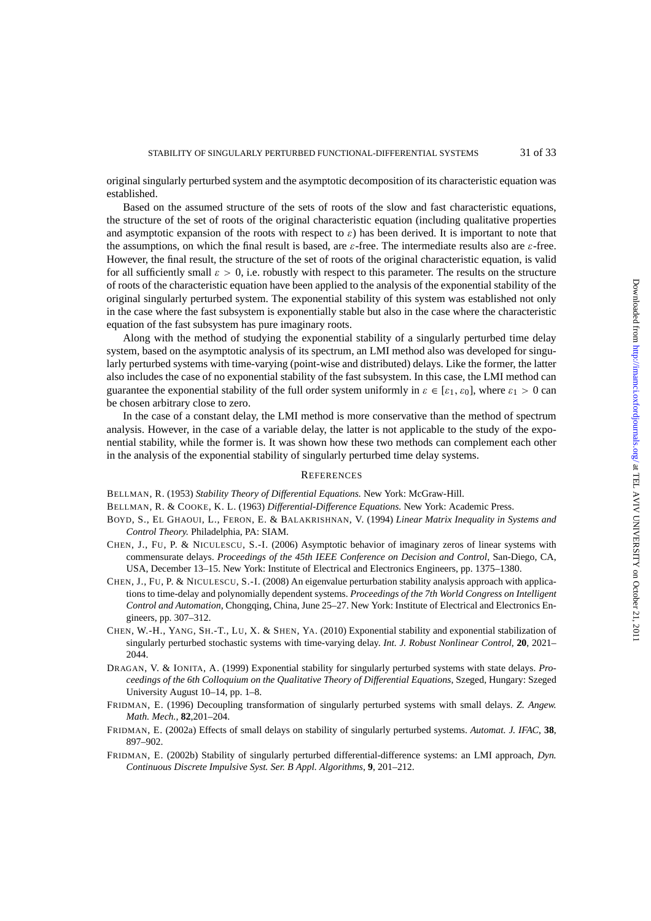<span id="page-30-0"></span>original singularly perturbed system and the asymptotic decomposition of its characteristic equation was established.

Based on the assumed structure of the sets of roots of the slow and fast characteristic equations, the structure of the set of roots of the original characteristic equation (including qualitative properties and asymptotic expansion of the roots with respect to  $\varepsilon$ ) has been derived. It is important to note that the assumptions, on which the final result is based, are  $\varepsilon$ -free. The intermediate results also are  $\varepsilon$ -free. However, the final result, the structure of the set of roots of the original characteristic equation, is valid for all sufficiently small  $\varepsilon > 0$ , i.e. robustly with respect to this parameter. The results on the structure of roots of the characteristic equation have been applied to the analysis of the exponential stability of the original singularly perturbed system. The exponential stability of this system was established not only in the case where the fast subsystem is exponentially stable but also in the case where the characteristic equation of the fast subsystem has pure imaginary roots.

Along with the method of studying the exponential stability of a singularly perturbed time delay system, based on the asymptotic analysis of its spectrum, an LMI method also was developed for singularly perturbed systems with time-varying (point-wise and distributed) delays. Like the former, the latter also includes the case of no exponential stability of the fast subsystem. In this case, the LMI method can guarantee the exponential stability of the full order system uniformly in  $\varepsilon \in [\varepsilon_1, \varepsilon_0]$ , where  $\varepsilon_1 > 0$  can be chosen arbitrary close to zero.

In the case of a constant delay, the LMI method is more conservative than the method of spectrum analysis. However, in the case of a variable delay, the latter is not applicable to the study of the exponential stability, while the former is. It was shown how these two methods can complement each other in the analysis of the exponential stability of singularly perturbed time delay systems.

#### **REFERENCES**

BELLMAN, R. (1953) *Stability Theory of Differential Equations.* New York: McGraw-Hill.

BELLMAN, R. & COOKE, K. L. (1963) *Differential-Difference Equations.* New York: Academic Press.

- BOYD, S., EL GHAOUI, L., FERON, E. & BALAKRISHNAN, V. (1994) *Linear Matrix Inequality in Systems and Control Theory.* Philadelphia, PA: SIAM.
- CHEN, J., FU, P. & NICULESCU, S.-I. (2006) Asymptotic behavior of imaginary zeros of linear systems with commensurate delays. *Proceedings of the 45th IEEE Conference on Decision and Control*, San-Diego, CA, USA, December 13–15. New York: Institute of Electrical and Electronics Engineers, pp. 1375–1380.
- CHEN, J., FU, P. & NICULESCU, S.-I. (2008) An eigenvalue perturbation stability analysis approach with applications to time-delay and polynomially dependent systems. *Proceedings of the 7th World Congress on Intelligent Control and Automation*, Chongqing, China, June 25–27. New York: Institute of Electrical and Electronics Engineers, pp. 307–312.
- CHEN, W.-H., YANG, SH.-T., LU, X. & SHEN, YA. (2010) Exponential stability and exponential stabilization of singularly perturbed stochastic systems with time-varying delay. *Int. J. Robust Nonlinear Control*, **20**, 2021– 2044.
- DRAGAN, V. & IONITA, A. (1999) Exponential stability for singularly perturbed systems with state delays. *Proceedings of the 6th Colloquium on the Qualitative Theory of Differential Equations*, Szeged, Hungary: Szeged University August 10–14, pp. 1–8.
- FRIDMAN, E. (1996) Decoupling transformation of singularly perturbed systems with small delays. *Z. Angew. Math. Mech.*, **82**,201–204.
- FRIDMAN, E. (2002a) Effects of small delays on stability of singularly perturbed systems. *Automat. J. IFAC*, **38**, 897–902.
- FRIDMAN, E. (2002b) Stability of singularly perturbed differential-difference systems: an LMI approach, *Dyn. Continuous Discrete Impulsive Syst. Ser. B Appl. Algorithms*, **9**, 201–212.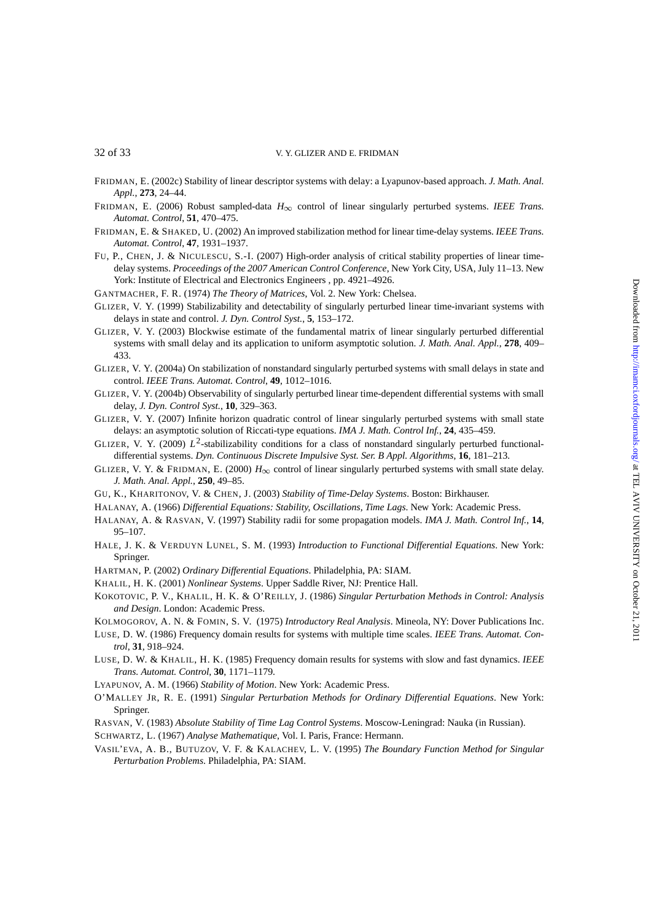<span id="page-31-0"></span>

- FRIDMAN, E. (2002c) Stability of linear descriptor systems with delay: a Lyapunov-based approach. *J. Math. Anal. Appl.*, **273**, 24–44.
- FRIDMAN, E. (2006) Robust sampled-data *H*<sup>∞</sup> control of linear singularly perturbed systems. *IEEE Trans. Automat. Control*, **51**, 470–475.
- FRIDMAN, E. & SHAKED, U. (2002) An improved stabilization method for linear time-delay systems. *IEEE Trans. Automat. Control*, **47**, 1931–1937.
- FU, P., CHEN, J. & NICULESCU, S.-I. (2007) High-order analysis of critical stability properties of linear timedelay systems. *Proceedings of the 2007 American Control Conference*, New York City, USA, July 11–13. New York: Institute of Electrical and Electronics Engineers , pp. 4921–4926.
- GANTMACHER, F. R. (1974) *The Theory of Matrices*, Vol. 2. New York: Chelsea.
- GLIZER, V. Y. (1999) Stabilizability and detectability of singularly perturbed linear time-invariant systems with delays in state and control. *J. Dyn. Control Syst.*, **5**, 153–172.
- GLIZER, V. Y. (2003) Blockwise estimate of the fundamental matrix of linear singularly perturbed differential systems with small delay and its application to uniform asymptotic solution. *J. Math. Anal. Appl.*, **278**, 409– 433.
- GLIZER, V. Y. (2004a) On stabilization of nonstandard singularly perturbed systems with small delays in state and control. *IEEE Trans. Automat. Control*, **49**, 1012–1016.
- GLIZER, V. Y. (2004b) Observability of singularly perturbed linear time-dependent differential systems with small delay, *J. Dyn. Control Syst.*, **10**, 329–363.
- GLIZER, V. Y. (2007) Infinite horizon quadratic control of linear singularly perturbed systems with small state delays: an asymptotic solution of Riccati-type equations. *IMA J. Math. Control Inf.*, **24**, 435–459.
- GLIZER, V. Y. (2009)  $L^2$ -stabilizability conditions for a class of nonstandard singularly perturbed functionaldifferential systems. *Dyn. Continuous Discrete Impulsive Syst. Ser. B Appl. Algorithms*, **16**, 181–213.
- GLIZER, V. Y. & FRIDMAN, E. (2000)  $H_{\infty}$  control of linear singularly perturbed systems with small state delay. *J. Math. Anal. Appl.*, **250**, 49–85.
- GU, K., KHARITONOV, V. & CHEN, J. (2003) *Stability of Time-Delay Systems*. Boston: Birkhauser.
- HALANAY, A. (1966) *Differential Equations: Stability, Oscillations, Time Lags*. New York: Academic Press.
- HALANAY, A. & RASVAN, V. (1997) Stability radii for some propagation models. *IMA J. Math. Control Inf.*, **14**, 95–107.
- HALE, J. K. & VERDUYN LUNEL, S. M. (1993) *Introduction to Functional Differential Equations*. New York: Springer.
- HARTMAN, P. (2002) *Ordinary Differential Equations*. Philadelphia, PA: SIAM.
- KHALIL, H. K. (2001) *Nonlinear Systems*. Upper Saddle River, NJ: Prentice Hall.
- KOKOTOVIC, P. V., KHALIL, H. K. & O'REILLY, J. (1986) *Singular Perturbation Methods in Control: Analysis and Design*. London: Academic Press.
- KOLMOGOROV, A. N. & FOMIN, S. V. (1975) *Introductory Real Analysis*. Mineola, NY: Dover Publications Inc.
- LUSE, D. W. (1986) Frequency domain results for systems with multiple time scales. *IEEE Trans. Automat. Control*, **31**, 918–924.
- LUSE, D. W. & KHALIL, H. K. (1985) Frequency domain results for systems with slow and fast dynamics. *IEEE Trans. Automat. Control*, **30**, 1171–1179.
- LYAPUNOV, A. M. (1966) *Stability of Motion*. New York: Academic Press.
- O'MALLEY JR, R. E. (1991) *Singular Perturbation Methods for Ordinary Differential Equations*. New York: Springer.
- RASVAN, V. (1983) *Absolute Stability of Time Lag Control Systems*. Moscow-Leningrad: Nauka (in Russian).
- SCHWARTZ, L. (1967) *Analyse Mathematique*, Vol. I. Paris, France: Hermann.
- VASIL'EVA, A. B., BUTUZOV, V. F. & KALACHEV, L. V. (1995) *The Boundary Function Method for Singular Perturbation Problems*. Philadelphia, PA: SIAM.